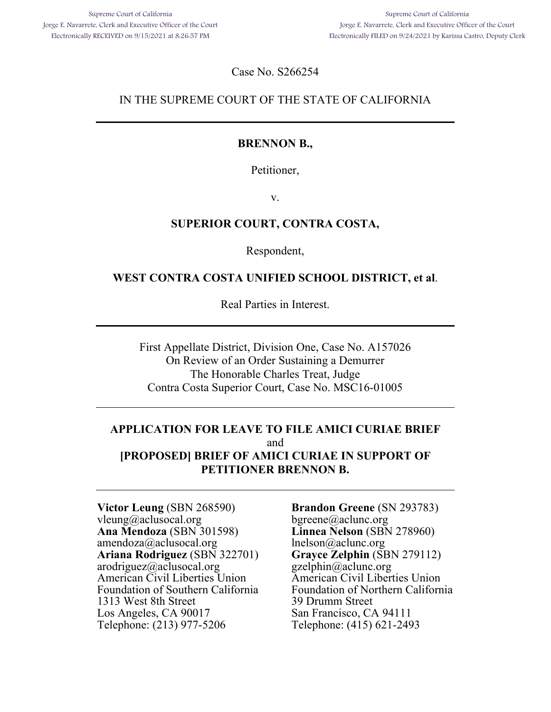Case No. S266254

### IN THE SUPREME COURT OF THE STATE OF CALIFORNIA

### **BRENNON B.,**

Petitioner,

v.

### **SUPERIOR COURT, CONTRA COSTA,**

Respondent,

### **WEST CONTRA COSTA UNIFIED SCHOOL DISTRICT, et al**.

Real Parties in Interest.

First Appellate District, Division One, Case No. A157026 On Review of an Order Sustaining a Demurrer The Honorable Charles Treat, Judge Contra Costa Superior Court, Case No. MSC16-01005

### **APPLICATION FOR LEAVE TO FILE AMICI CURIAE BRIEF**  and **[PROPOSED] BRIEF OF AMICI CURIAE IN SUPPORT OF PETITIONER BRENNON B.**

**Victor Leung** (SBN 268590) vleung@aclusocal.org **Ana Mendoza** (SBN 301598) amendoza@aclusocal.org **Ariana Rodriguez** (SBN 322701) arodriguez@aclusocal.org American Civil Liberties Union Foundation of Southern California 1313 West 8th Street Los Angeles, CA 90017 Telephone: (213) 977-5206

**Brandon Greene** (SN 293783) bgreene@aclunc.org **Linnea Nelson** (SBN 278960) lnelson@aclunc.org **Grayce Zelphin** (SBN 279112) gzelphin@aclunc.org American Civil Liberties Union Foundation of Northern California 39 Drumm Street San Francisco, CA 94111 Telephone: (415) 621-2493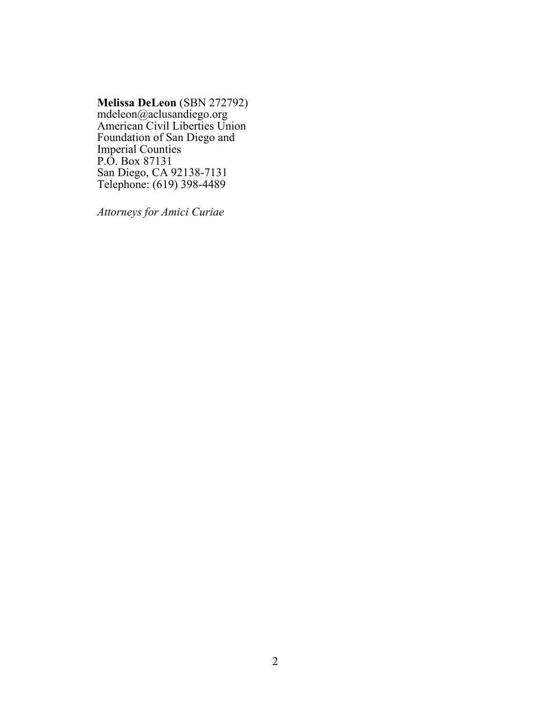#### **Melissa DeLeon** (SBN 272792)

mdeleon@aclusandiego.org American Civil Liberties Union Foundation of San Diego and Imperial Counties P.O. Box 87131 San Diego, CA 92138-7131 Telephone: (619) 398-4489

*Attorneys for Amici Curiae*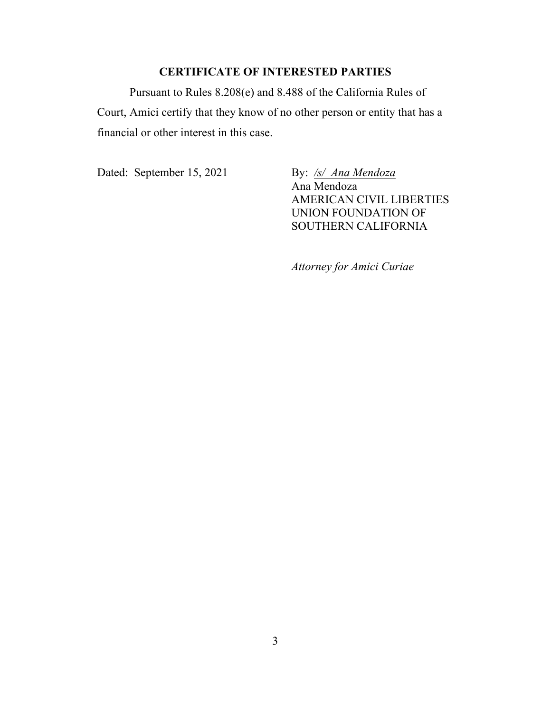### **CERTIFICATE OF INTERESTED PARTIES**

Pursuant to Rules 8.208(e) and 8.488 of the California Rules of Court, Amici certify that they know of no other person or entity that has a financial or other interest in this case.

Dated: September 15, 2021 By: /s/ Ana Mendoza

Ana Mendoza AMERICAN CIVIL LIBERTIES UNION FOUNDATION OF SOUTHERN CALIFORNIA

*Attorney for Amici Curiae*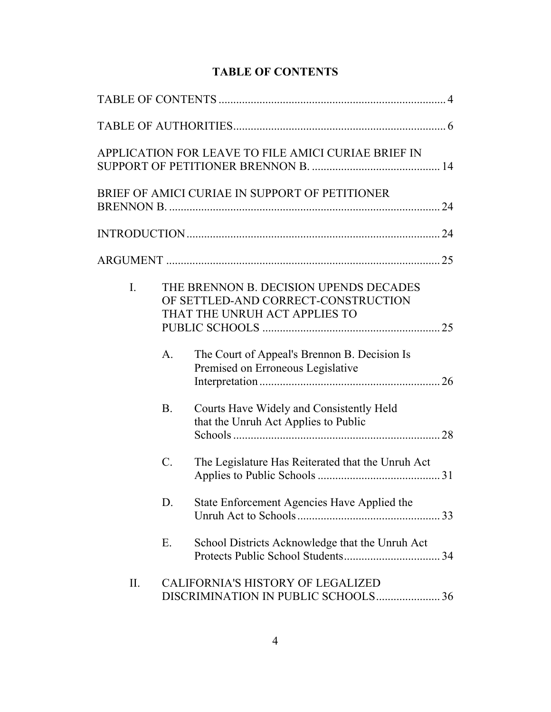|     |           | APPLICATION FOR LEAVE TO FILE AMICI CURIAE BRIEF IN                                                            |
|-----|-----------|----------------------------------------------------------------------------------------------------------------|
|     |           | BRIEF OF AMICI CURIAE IN SUPPORT OF PETITIONER                                                                 |
|     |           |                                                                                                                |
|     |           |                                                                                                                |
| I.  |           | THE BRENNON B. DECISION UPENDS DECADES<br>OF SETTLED-AND CORRECT-CONSTRUCTION<br>THAT THE UNRUH ACT APPLIES TO |
|     | A.        | The Court of Appeal's Brennon B. Decision Is<br>Premised on Erroneous Legislative                              |
|     | <b>B.</b> | Courts Have Widely and Consistently Held<br>that the Unruh Act Applies to Public                               |
|     | C.        | The Legislature Has Reiterated that the Unruh Act                                                              |
|     | D.        | State Enforcement Agencies Have Applied the                                                                    |
|     | Ε.        | School Districts Acknowledge that the Unruh Act                                                                |
| II. |           | <b>CALIFORNIA'S HISTORY OF LEGALIZED</b><br>DISCRIMINATION IN PUBLIC SCHOOLS36                                 |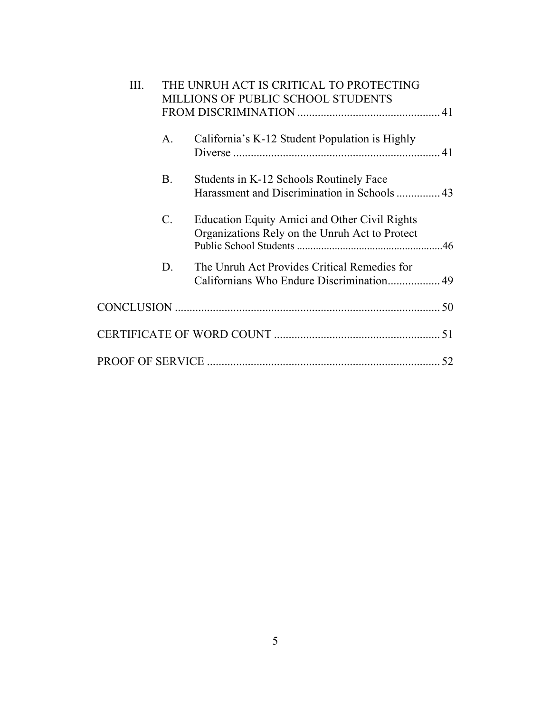| III. | THE UNRUH ACT IS CRITICAL TO PROTECTING<br>MILLIONS OF PUBLIC SCHOOL STUDENTS |                                                                                                 |  |
|------|-------------------------------------------------------------------------------|-------------------------------------------------------------------------------------------------|--|
|      |                                                                               |                                                                                                 |  |
|      | А.                                                                            | California's K-12 Student Population is Highly                                                  |  |
|      | Β.                                                                            | Students in K-12 Schools Routinely Face<br>Harassment and Discrimination in Schools  43         |  |
|      | C.                                                                            | Education Equity Amici and Other Civil Rights<br>Organizations Rely on the Unruh Act to Protect |  |
|      | D.                                                                            | The Unruh Act Provides Critical Remedies for<br>Californians Who Endure Discrimination 49       |  |
|      |                                                                               |                                                                                                 |  |
|      |                                                                               |                                                                                                 |  |
|      |                                                                               |                                                                                                 |  |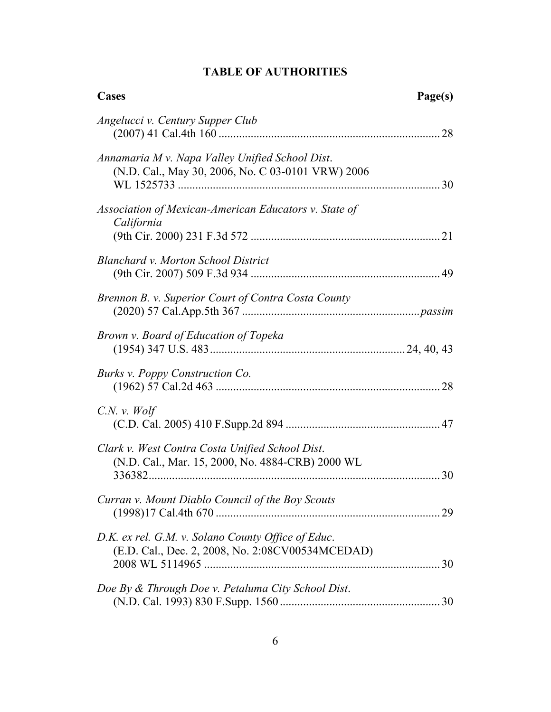### **TABLE OF AUTHORITIES**

| <b>Cases</b>                                                                                           | Page(s) |
|--------------------------------------------------------------------------------------------------------|---------|
| Angelucci v. Century Supper Club                                                                       |         |
| Annamaria M v. Napa Valley Unified School Dist.<br>(N.D. Cal., May 30, 2006, No. C 03-0101 VRW) 2006   |         |
| Association of Mexican-American Educators v. State of<br>California                                    |         |
| <b>Blanchard v. Morton School District</b>                                                             |         |
| Brennon B. v. Superior Court of Contra Costa County                                                    |         |
| Brown v. Board of Education of Topeka                                                                  |         |
| Burks v. Poppy Construction Co.                                                                        |         |
| $C.N.$ v. Wolf                                                                                         |         |
| Clark v. West Contra Costa Unified School Dist.<br>(N.D. Cal., Mar. 15, 2000, No. 4884-CRB) 2000 WL    | 30      |
| Curran v. Mount Diablo Council of the Boy Scouts                                                       |         |
| D.K. ex rel. G.M. v. Solano County Office of Educ.<br>(E.D. Cal., Dec. 2, 2008, No. 2:08CV00534MCEDAD) |         |
| Doe By & Through Doe v. Petaluma City School Dist.                                                     |         |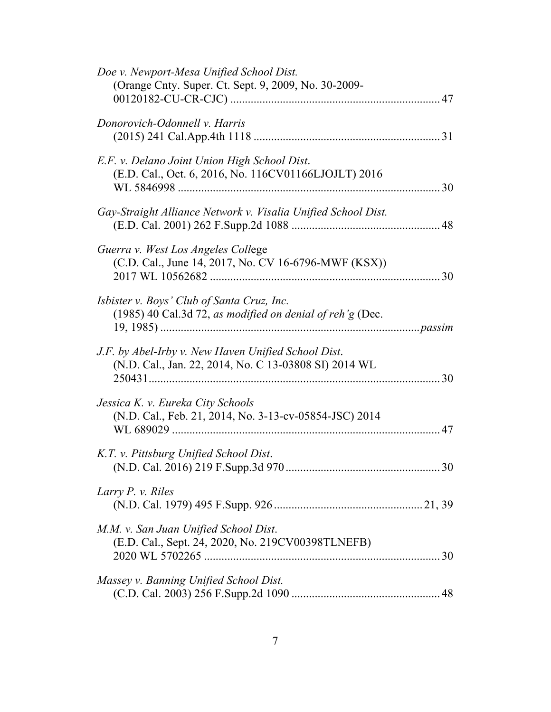| Doe v. Newport-Mesa Unified School Dist.<br>(Orange Cnty. Super. Ct. Sept. 9, 2009, No. 30-2009-             |    |
|--------------------------------------------------------------------------------------------------------------|----|
| Donorovich-Odonnell v. Harris                                                                                |    |
| E.F. v. Delano Joint Union High School Dist.<br>(E.D. Cal., Oct. 6, 2016, No. 116CV01166LJOJLT) 2016         |    |
| Gay-Straight Alliance Network v. Visalia Unified School Dist.                                                |    |
| Guerra v. West Los Angeles College<br>(C.D. Cal., June 14, 2017, No. CV 16-6796-MWF (KSX))                   |    |
| Isbister v. Boys' Club of Santa Cruz, Inc.<br>(1985) 40 Cal.3d 72, as modified on denial of reh'g (Dec.      |    |
| J.F. by Abel-Irby v. New Haven Unified School Dist.<br>(N.D. Cal., Jan. 22, 2014, No. C 13-03808 SI) 2014 WL |    |
| Jessica K. v. Eureka City Schools<br>(N.D. Cal., Feb. 21, 2014, No. 3-13-cv-05854-JSC) 2014                  | 47 |
| K.T. v. Pittsburg Unified School Dist.                                                                       | 30 |
| Larry P. v. Riles                                                                                            |    |
| M.M. v. San Juan Unified School Dist.<br>(E.D. Cal., Sept. 24, 2020, No. 219CV00398TLNEFB)                   |    |
| Massey v. Banning Unified School Dist.                                                                       |    |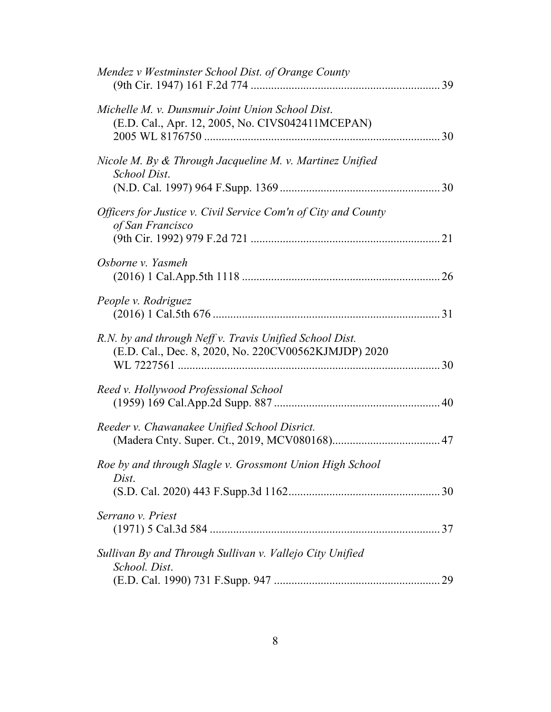| Mendez v Westminster School Dist. of Orange County                                                              |  |
|-----------------------------------------------------------------------------------------------------------------|--|
| Michelle M. v. Dunsmuir Joint Union School Dist.<br>(E.D. Cal., Apr. 12, 2005, No. CIVS042411MCEPAN)            |  |
| Nicole M. By $\&$ Through Jacqueline M. v. Martinez Unified<br>School Dist.                                     |  |
| Officers for Justice v. Civil Service Com'n of City and County<br>of San Francisco                              |  |
| Osborne v. Yasmeh                                                                                               |  |
| People v. Rodriguez                                                                                             |  |
| R.N. by and through Neff v. Travis Unified School Dist.<br>(E.D. Cal., Dec. 8, 2020, No. 220CV00562KJMJDP) 2020 |  |
| Reed v. Hollywood Professional School                                                                           |  |
| Reeder v. Chawanakee Unified School Disrict.                                                                    |  |
| Roe by and through Slagle v. Grossmont Union High School<br>Dist.                                               |  |
| Serrano v. Priest                                                                                               |  |
| Sullivan By and Through Sullivan v. Vallejo City Unified<br>School. Dist.                                       |  |
|                                                                                                                 |  |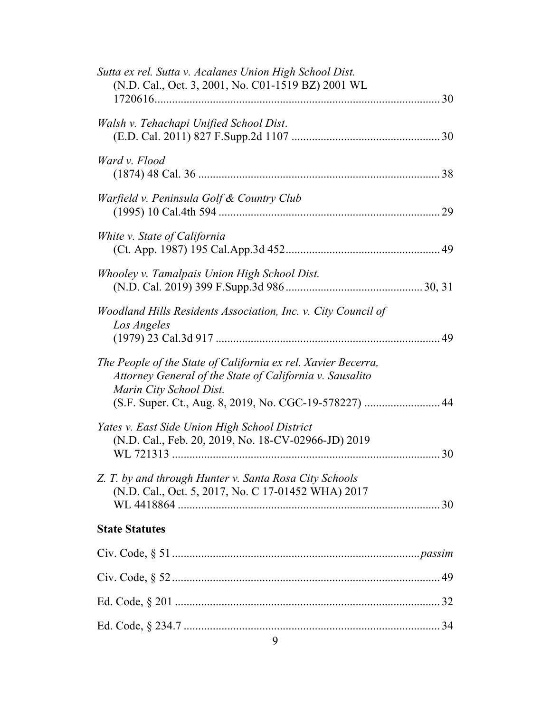| Sutta ex rel. Sutta v. Acalanes Union High School Dist.<br>(N.D. Cal., Oct. 3, 2001, No. C01-1519 BZ) 2001 WL                                                                                                  |  |
|----------------------------------------------------------------------------------------------------------------------------------------------------------------------------------------------------------------|--|
| Walsh v. Tehachapi Unified School Dist.                                                                                                                                                                        |  |
| Ward v. Flood                                                                                                                                                                                                  |  |
| Warfield v. Peninsula Golf & Country Club                                                                                                                                                                      |  |
| White v. State of California                                                                                                                                                                                   |  |
| Whooley v. Tamalpais Union High School Dist.                                                                                                                                                                   |  |
| Woodland Hills Residents Association, Inc. v. City Council of<br>Los Angeles                                                                                                                                   |  |
| The People of the State of California ex rel. Xavier Becerra,<br>Attorney General of the State of California v. Sausalito<br>Marin City School Dist.<br>(S.F. Super. Ct., Aug. 8, 2019, No. CGC-19-578227)  44 |  |
| Yates v. East Side Union High School District<br>(N.D. Cal., Feb. 20, 2019, No. 18-CV-02966-JD) 2019                                                                                                           |  |
| Z. T. by and through Hunter v. Santa Rosa City Schools<br>(N.D. Cal., Oct. 5, 2017, No. C 17-01452 WHA) 2017                                                                                                   |  |
| <b>State Statutes</b>                                                                                                                                                                                          |  |
|                                                                                                                                                                                                                |  |
|                                                                                                                                                                                                                |  |
|                                                                                                                                                                                                                |  |
| 9                                                                                                                                                                                                              |  |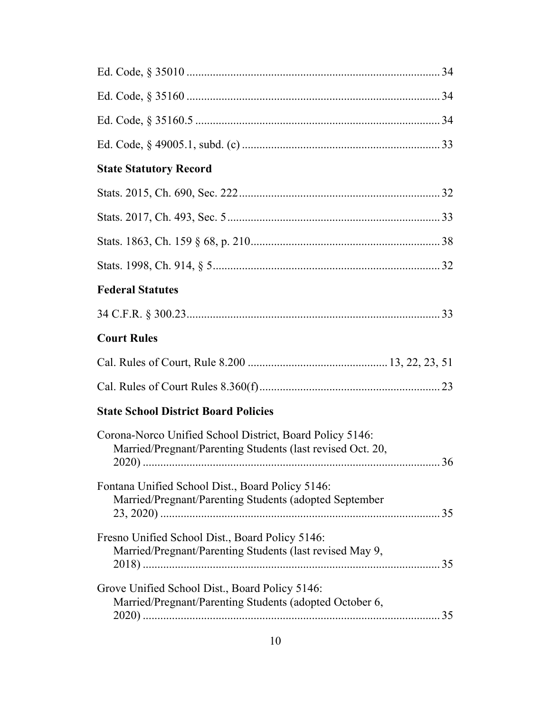| <b>State Statutory Record</b>                                                                                                |
|------------------------------------------------------------------------------------------------------------------------------|
|                                                                                                                              |
|                                                                                                                              |
|                                                                                                                              |
|                                                                                                                              |
| <b>Federal Statutes</b>                                                                                                      |
|                                                                                                                              |
| <b>Court Rules</b>                                                                                                           |
|                                                                                                                              |
|                                                                                                                              |
| <b>State School District Board Policies</b>                                                                                  |
| Corona-Norco Unified School District, Board Policy 5146:<br>Married/Pregnant/Parenting Students (last revised Oct. 20,<br>36 |
| Fontana Unified School Dist., Board Policy 5146:<br>Married/Pregnant/Parenting Students (adopted September                   |
| Fresno Unified School Dist., Board Policy 5146:<br>Married/Pregnant/Parenting Students (last revised May 9,                  |
| Grove Unified School Dist., Board Policy 5146:<br>Married/Pregnant/Parenting Students (adopted October 6,                    |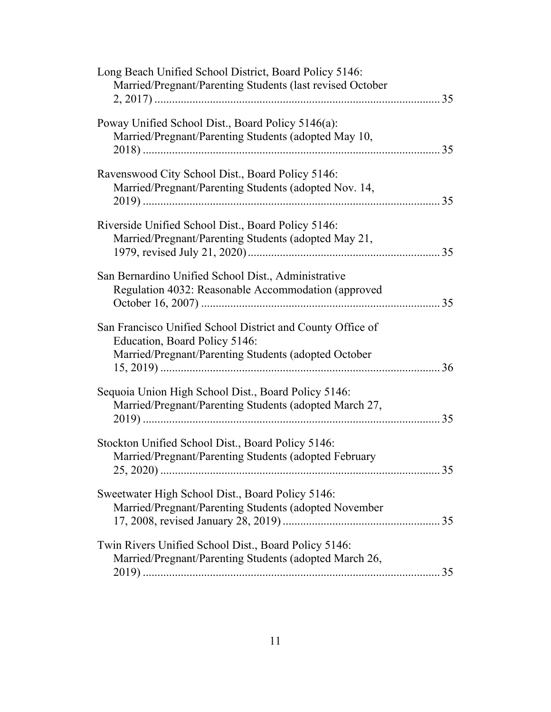| Long Beach Unified School District, Board Policy 5146:<br>Married/Pregnant/Parenting Students (last revised October                                 |    |
|-----------------------------------------------------------------------------------------------------------------------------------------------------|----|
| Poway Unified School Dist., Board Policy 5146(a):<br>Married/Pregnant/Parenting Students (adopted May 10,                                           | 35 |
| Ravenswood City School Dist., Board Policy 5146:<br>Married/Pregnant/Parenting Students (adopted Nov. 14,                                           |    |
| Riverside Unified School Dist., Board Policy 5146:<br>Married/Pregnant/Parenting Students (adopted May 21,                                          |    |
| San Bernardino Unified School Dist., Administrative<br>Regulation 4032: Reasonable Accommodation (approved                                          |    |
| San Francisco Unified School District and County Office of<br>Education, Board Policy 5146:<br>Married/Pregnant/Parenting Students (adopted October |    |
| Sequoia Union High School Dist., Board Policy 5146:<br>Married/Pregnant/Parenting Students (adopted March 27,                                       | 35 |
| Stockton Unified School Dist., Board Policy 5146:<br>Married/Pregnant/Parenting Students (adopted February                                          |    |
| Sweetwater High School Dist., Board Policy 5146:<br>Married/Pregnant/Parenting Students (adopted November                                           |    |
| Twin Rivers Unified School Dist., Board Policy 5146:<br>Married/Pregnant/Parenting Students (adopted March 26,                                      |    |
|                                                                                                                                                     |    |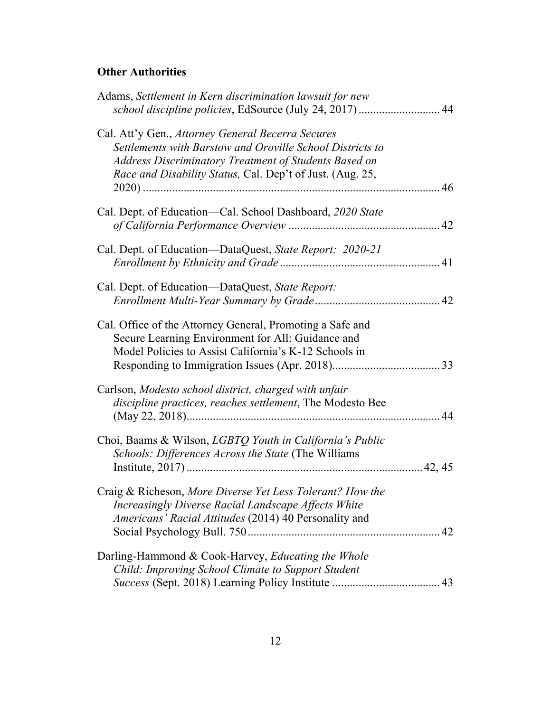### **Other Authorities**

| Adams, Settlement in Kern discrimination lawsuit for new<br>school discipline policies, EdSource (July 24, 2017)  44                                                                                                                 |
|--------------------------------------------------------------------------------------------------------------------------------------------------------------------------------------------------------------------------------------|
| Cal. Att'y Gen., Attorney General Becerra Secures<br>Settlements with Barstow and Oroville School Districts to<br>Address Discriminatory Treatment of Students Based on<br>Race and Disability Status, Cal. Dep't of Just. (Aug. 25, |
| Cal. Dept. of Education—Cal. School Dashboard, 2020 State                                                                                                                                                                            |
| Cal. Dept. of Education—DataQuest, State Report: 2020-21                                                                                                                                                                             |
| Cal. Dept. of Education-DataQuest, State Report:                                                                                                                                                                                     |
| Cal. Office of the Attorney General, Promoting a Safe and<br>Secure Learning Environment for All: Guidance and<br>Model Policies to Assist California's K-12 Schools in                                                              |
| Carlson, Modesto school district, charged with unfair<br>discipline practices, reaches settlement, The Modesto Bee                                                                                                                   |
| Choi, Baams & Wilson, LGBTQ Youth in California's Public<br>Schools: Differences Across the State (The Williams                                                                                                                      |
| Craig & Richeson, More Diverse Yet Less Tolerant? How the<br>Increasingly Diverse Racial Landscape Affects White<br>Americans' Racial Attitudes (2014) 40 Personality and                                                            |
| Darling-Hammond & Cook-Harvey, Educating the Whole<br>Child: Improving School Climate to Support Student                                                                                                                             |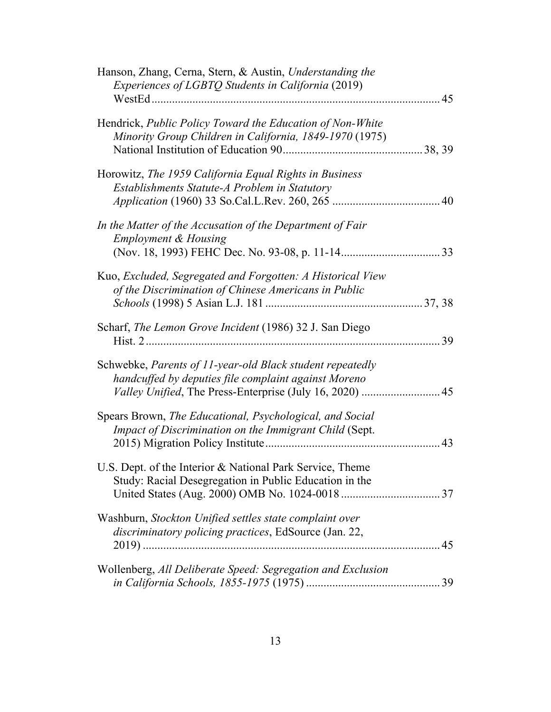| Hanson, Zhang, Cerna, Stern, & Austin, Understanding the<br>Experiences of LGBTQ Students in California (2019)                                                                |    |
|-------------------------------------------------------------------------------------------------------------------------------------------------------------------------------|----|
| Hendrick, Public Policy Toward the Education of Non-White<br>Minority Group Children in California, 1849-1970 (1975)                                                          |    |
| Horowitz, The 1959 California Equal Rights in Business<br>Establishments Statute-A Problem in Statutory                                                                       |    |
| In the Matter of the Accusation of the Department of Fair<br><b>Employment &amp; Housing</b>                                                                                  |    |
| Kuo, Excluded, Segregated and Forgotten: A Historical View<br>of the Discrimination of Chinese Americans in Public                                                            |    |
| Scharf, The Lemon Grove Incident (1986) 32 J. San Diego                                                                                                                       |    |
| Schwebke, Parents of 11-year-old Black student repeatedly<br>handcuffed by deputies file complaint against Moreno<br>Valley Unified, The Press-Enterprise (July 16, 2020)  45 |    |
| Spears Brown, The Educational, Psychological, and Social<br>Impact of Discrimination on the Immigrant Child (Sept.                                                            | 43 |
| U.S. Dept. of the Interior & National Park Service, Theme<br>Study: Racial Desegregation in Public Education in the                                                           |    |
| Washburn, Stockton Unified settles state complaint over<br>discriminatory policing practices, EdSource (Jan. 22,                                                              |    |
| Wollenberg, All Deliberate Speed: Segregation and Exclusion                                                                                                                   |    |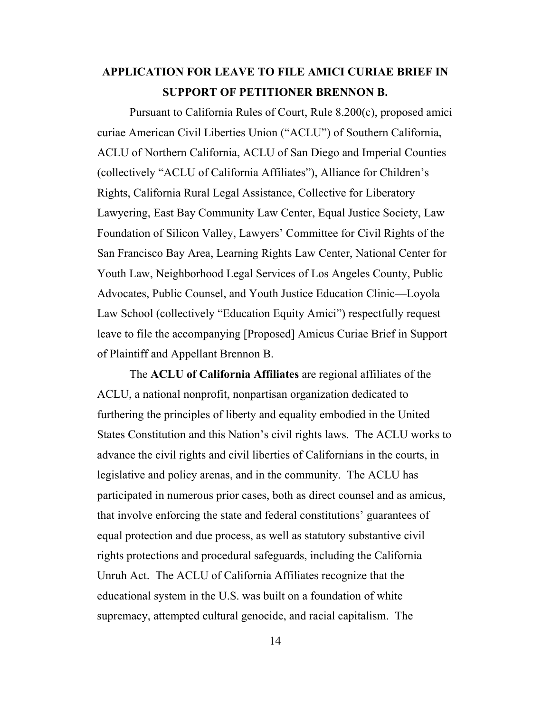## **APPLICATION FOR LEAVE TO FILE AMICI CURIAE BRIEF IN SUPPORT OF PETITIONER BRENNON B.**

<span id="page-13-0"></span>Pursuant to California Rules of Court, Rule 8.200(c), proposed amici curiae American Civil Liberties Union ("ACLU") of Southern California, ACLU of Northern California, ACLU of San Diego and Imperial Counties (collectively "ACLU of California Affiliates"), Alliance for Children's Rights, California Rural Legal Assistance, Collective for Liberatory Lawyering, East Bay Community Law Center, Equal Justice Society, Law Foundation of Silicon Valley, Lawyers' Committee for Civil Rights of the San Francisco Bay Area, Learning Rights Law Center, National Center for Youth Law, Neighborhood Legal Services of Los Angeles County, Public Advocates, Public Counsel, and Youth Justice Education Clinic—Loyola Law School (collectively "Education Equity Amici") respectfully request leave to file the accompanying [Proposed] Amicus Curiae Brief in Support of Plaintiff and Appellant Brennon B.

The **ACLU of California Affiliates** are regional affiliates of the ACLU, a national nonprofit, nonpartisan organization dedicated to furthering the principles of liberty and equality embodied in the United States Constitution and this Nation's civil rights laws. The ACLU works to advance the civil rights and civil liberties of Californians in the courts, in legislative and policy arenas, and in the community. The ACLU has participated in numerous prior cases, both as direct counsel and as amicus, that involve enforcing the state and federal constitutions' guarantees of equal protection and due process, as well as statutory substantive civil rights protections and procedural safeguards, including the California Unruh Act. The ACLU of California Affiliates recognize that the educational system in the U.S. was built on a foundation of white supremacy, attempted cultural genocide, and racial capitalism. The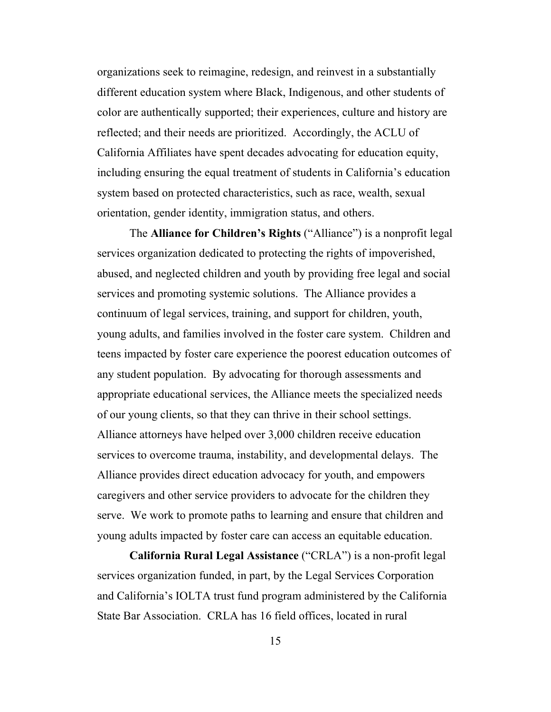organizations seek to reimagine, redesign, and reinvest in a substantially different education system where Black, Indigenous, and other students of color are authentically supported; their experiences, culture and history are reflected; and their needs are prioritized. Accordingly, the ACLU of California Affiliates have spent decades advocating for education equity, including ensuring the equal treatment of students in California's education system based on protected characteristics, such as race, wealth, sexual orientation, gender identity, immigration status, and others.

The **Alliance for Children's Rights** ("Alliance") is a nonprofit legal services organization dedicated to protecting the rights of impoverished, abused, and neglected children and youth by providing free legal and social services and promoting systemic solutions. The Alliance provides a continuum of legal services, training, and support for children, youth, young adults, and families involved in the foster care system. Children and teens impacted by foster care experience the poorest education outcomes of any student population. By advocating for thorough assessments and appropriate educational services, the Alliance meets the specialized needs of our young clients, so that they can thrive in their school settings. Alliance attorneys have helped over 3,000 children receive education services to overcome trauma, instability, and developmental delays. The Alliance provides direct education advocacy for youth, and empowers caregivers and other service providers to advocate for the children they serve. We work to promote paths to learning and ensure that children and young adults impacted by foster care can access an equitable education.

**California Rural Legal Assistance** ("CRLA") is a non-profit legal services organization funded, in part, by the Legal Services Corporation and California's IOLTA trust fund program administered by the California State Bar Association. CRLA has 16 field offices, located in rural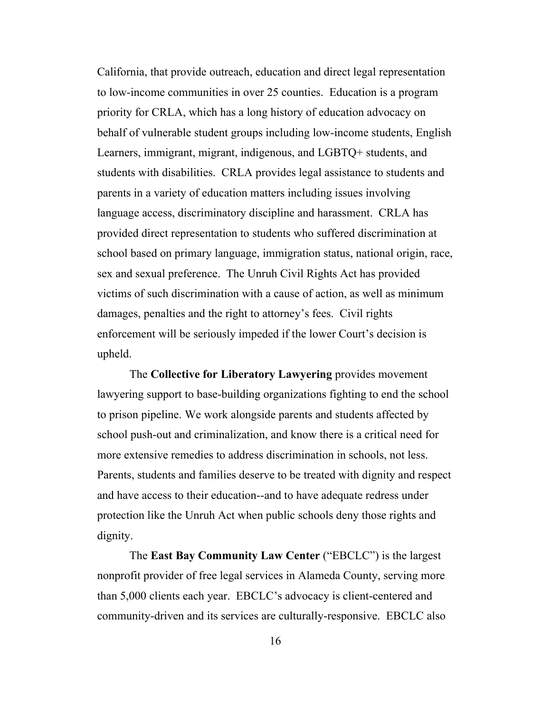California, that provide outreach, education and direct legal representation to low-income communities in over 25 counties. Education is a program priority for CRLA, which has a long history of education advocacy on behalf of vulnerable student groups including low-income students, English Learners, immigrant, migrant, indigenous, and LGBTQ+ students, and students with disabilities. CRLA provides legal assistance to students and parents in a variety of education matters including issues involving language access, discriminatory discipline and harassment. CRLA has provided direct representation to students who suffered discrimination at school based on primary language, immigration status, national origin, race, sex and sexual preference. The Unruh Civil Rights Act has provided victims of such discrimination with a cause of action, as well as minimum damages, penalties and the right to attorney's fees. Civil rights enforcement will be seriously impeded if the lower Court's decision is upheld.

The **Collective for Liberatory Lawyering** provides movement lawyering support to base-building organizations fighting to end the school to prison pipeline. We work alongside parents and students affected by school push-out and criminalization, and know there is a critical need for more extensive remedies to address discrimination in schools, not less. Parents, students and families deserve to be treated with dignity and respect and have access to their education--and to have adequate redress under protection like the Unruh Act when public schools deny those rights and dignity.

<span id="page-15-0"></span>The **East Bay Community Law Center** ("EBCLC") is the largest nonprofit provider of free legal services in Alameda County, serving more than 5,000 clients each year. EBCLC's advocacy is client-centered and community-driven and its services are culturally-responsive. EBCLC also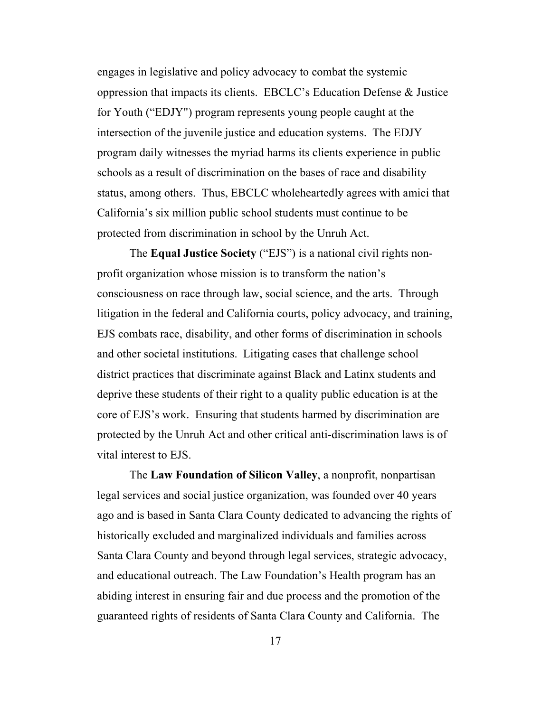engages in legislative and policy advocacy to combat the systemic oppression that impacts its clients. EBCLC's Education Defense & Justice for Youth ("EDJY") program represents young people caught at the intersection of the juvenile justice and education systems. The EDJY program daily witnesses the myriad harms its clients experience in public schools as a result of discrimination on the bases of race and disability status, among others. Thus, EBCLC wholeheartedly agrees with amici that California's six million public school students must continue to be protected from discrimination in school by the Unruh Act.

The **Equal Justice Society** ("EJS") is a national civil rights nonprofit organization whose mission is to transform the nation's consciousness on race through law, social science, and the arts. Through litigation in the federal and California courts, policy advocacy, and training, EJS combats race, disability, and other forms of discrimination in schools and other societal institutions. Litigating cases that challenge school district practices that discriminate against Black and Latinx students and deprive these students of their right to a quality public education is at the core of EJS's work. Ensuring that students harmed by discrimination are protected by the Unruh Act and other critical anti-discrimination laws is of vital interest to EJS.

The **Law Foundation of Silicon Valley**, a nonprofit, nonpartisan legal services and social justice organization, was founded over 40 years ago and is based in Santa Clara County dedicated to advancing the rights of historically excluded and marginalized individuals and families across Santa Clara County and beyond through legal services, strategic advocacy, and educational outreach. The Law Foundation's Health program has an abiding interest in ensuring fair and due process and the promotion of the guaranteed rights of residents of Santa Clara County and California. The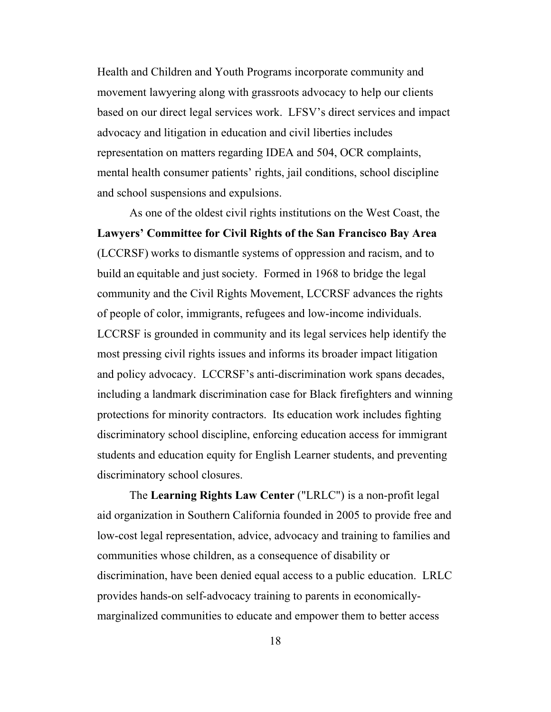Health and Children and Youth Programs incorporate community and movement lawyering along with grassroots advocacy to help our clients based on our direct legal services work. LFSV's direct services and impact advocacy and litigation in education and civil liberties includes representation on matters regarding IDEA and 504, OCR complaints, mental health consumer patients' rights, jail conditions, school discipline and school suspensions and expulsions.

As one of the oldest civil rights institutions on the West Coast, the **Lawyers' Committee for Civil Rights of the San Francisco Bay Area** (LCCRSF) works to dismantle systems of oppression and racism, and to build an equitable and just society. Formed in 1968 to bridge the legal community and the Civil Rights Movement, LCCRSF advances the rights of people of color, immigrants, refugees and low-income individuals. LCCRSF is grounded in community and its legal services help identify the most pressing civil rights issues and informs its broader impact litigation and policy advocacy. LCCRSF's anti-discrimination work spans decades, including a landmark discrimination case for Black firefighters and winning protections for minority contractors. Its education work includes fighting discriminatory school discipline, enforcing education access for immigrant students and education equity for English Learner students, and preventing discriminatory school closures.

The **Learning Rights Law Center** ("LRLC") is a non-profit legal aid organization in Southern California founded in 2005 to provide free and low-cost legal representation, advice, advocacy and training to families and communities whose children, as a consequence of disability or discrimination, have been denied equal access to a public education. LRLC provides hands-on self-advocacy training to parents in economicallymarginalized communities to educate and empower them to better access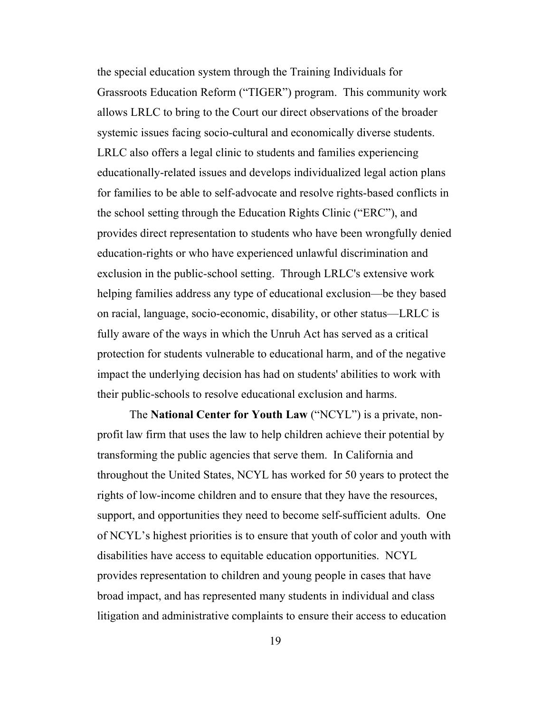the special education system through the Training Individuals for Grassroots Education Reform ("TIGER") program. This community work allows LRLC to bring to the Court our direct observations of the broader systemic issues facing socio-cultural and economically diverse students. LRLC also offers a legal clinic to students and families experiencing educationally-related issues and develops individualized legal action plans for families to be able to self-advocate and resolve rights-based conflicts in the school setting through the Education Rights Clinic ("ERC"), and provides direct representation to students who have been wrongfully denied education-rights or who have experienced unlawful discrimination and exclusion in the public-school setting. Through LRLC's extensive work helping families address any type of educational exclusion—be they based on racial, language, socio-economic, disability, or other status—LRLC is fully aware of the ways in which the Unruh Act has served as a critical protection for students vulnerable to educational harm, and of the negative impact the underlying decision has had on students' abilities to work with their public-schools to resolve educational exclusion and harms.

The **National Center for Youth Law** ("NCYL") is a private, nonprofit law firm that uses the law to help children achieve their potential by transforming the public agencies that serve them. In California and throughout the United States, NCYL has worked for 50 years to protect the rights of low-income children and to ensure that they have the resources, support, and opportunities they need to become self-sufficient adults. One of NCYL's highest priorities is to ensure that youth of color and youth with disabilities have access to equitable education opportunities. NCYL provides representation to children and young people in cases that have broad impact, and has represented many students in individual and class litigation and administrative complaints to ensure their access to education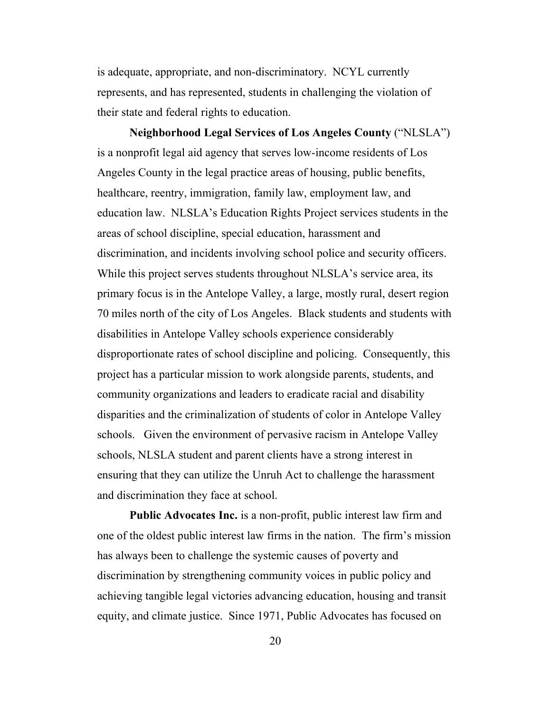is adequate, appropriate, and non-discriminatory. NCYL currently represents, and has represented, students in challenging the violation of their state and federal rights to education.

**Neighborhood Legal Services of Los Angeles County** ("NLSLA") is a nonprofit legal aid agency that serves low-income residents of Los Angeles County in the legal practice areas of housing, public benefits, healthcare, reentry, immigration, family law, employment law, and education law. NLSLA's Education Rights Project services students in the areas of school discipline, special education, harassment and discrimination, and incidents involving school police and security officers. While this project serves students throughout NLSLA's service area, its primary focus is in the Antelope Valley, a large, mostly rural, desert region 70 miles north of the city of Los Angeles. Black students and students with disabilities in Antelope Valley schools experience considerably disproportionate rates of school discipline and policing. Consequently, this project has a particular mission to work alongside parents, students, and community organizations and leaders to eradicate racial and disability disparities and the criminalization of students of color in Antelope Valley schools. Given the environment of pervasive racism in Antelope Valley schools, NLSLA student and parent clients have a strong interest in ensuring that they can utilize the Unruh Act to challenge the harassment and discrimination they face at school.

**Public Advocates Inc.** is a non-profit, public interest law firm and one of the oldest public interest law firms in the nation. The firm's mission has always been to challenge the systemic causes of poverty and discrimination by strengthening community voices in public policy and achieving tangible legal victories advancing education, housing and transit equity, and climate justice. Since 1971, Public Advocates has focused on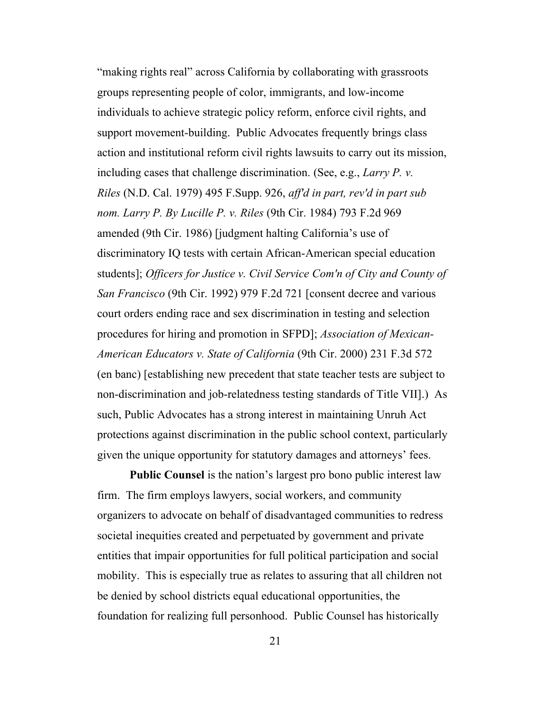<span id="page-20-2"></span><span id="page-20-1"></span>"making rights real" across California by collaborating with grassroots groups representing people of color, immigrants, and low-income individuals to achieve strategic policy reform, enforce civil rights, and support movement-building. Public Advocates frequently brings class action and institutional reform civil rights lawsuits to carry out its mission, including cases that challenge discrimination. (See, e.g., *Larry P. v. Riles* (N.D. Cal. 1979) 495 F.Supp. 926, *aff'd in part, rev'd in part sub nom. Larry P. By Lucille P. v. Riles* (9th Cir. 1984) 793 F.2d 969 amended (9th Cir. 1986) [judgment halting California's use of discriminatory IQ tests with certain African-American special education students]; *Officers for Justice v. Civil Service Com'n of City and County of San Francisco* (9th Cir. 1992) 979 F.2d 721 [consent decree and various court orders ending race and sex discrimination in testing and selection procedures for hiring and promotion in SFPD]; *Association of Mexican-American Educators v. State of California* (9th Cir. 2000) 231 F.3d 572 (en banc) [establishing new precedent that state teacher tests are subject to non-discrimination and job-relatedness testing standards of Title VII].) As such, Public Advocates has a strong interest in maintaining Unruh Act protections against discrimination in the public school context, particularly given the unique opportunity for statutory damages and attorneys' fees.

<span id="page-20-0"></span>**Public Counsel** is the nation's largest pro bono public interest law firm. The firm employs lawyers, social workers, and community organizers to advocate on behalf of disadvantaged communities to redress societal inequities created and perpetuated by government and private entities that impair opportunities for full political participation and social mobility. This is especially true as relates to assuring that all children not be denied by school districts equal educational opportunities, the foundation for realizing full personhood. Public Counsel has historically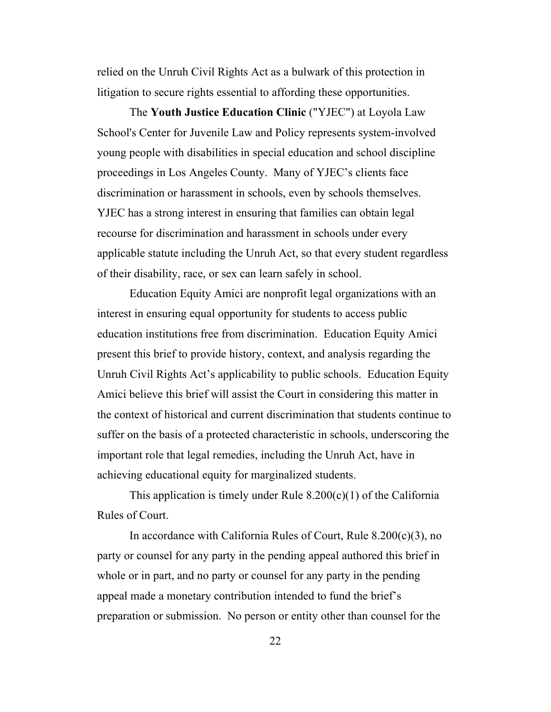relied on the Unruh Civil Rights Act as a bulwark of this protection in litigation to secure rights essential to affording these opportunities.

The **Youth Justice Education Clinic** ("YJEC") at Loyola Law School's Center for Juvenile Law and Policy represents system-involved young people with disabilities in special education and school discipline proceedings in Los Angeles County. Many of YJEC's clients face discrimination or harassment in schools, even by schools themselves. YJEC has a strong interest in ensuring that families can obtain legal recourse for discrimination and harassment in schools under every applicable statute including the Unruh Act, so that every student regardless of their disability, race, or sex can learn safely in school.

Education Equity Amici are nonprofit legal organizations with an interest in ensuring equal opportunity for students to access public education institutions free from discrimination. Education Equity Amici present this brief to provide history, context, and analysis regarding the Unruh Civil Rights Act's applicability to public schools. Education Equity Amici believe this brief will assist the Court in considering this matter in the context of historical and current discrimination that students continue to suffer on the basis of a protected characteristic in schools, underscoring the important role that legal remedies, including the Unruh Act, have in achieving educational equity for marginalized students.

This application is timely under Rule  $8.200(c)(1)$  of the California Rules of Court.

In accordance with California Rules of Court, Rule 8.200(c)(3), no party or counsel for any party in the pending appeal authored this brief in whole or in part, and no party or counsel for any party in the pending appeal made a monetary contribution intended to fund the brief's preparation or submission. No person or entity other than counsel for the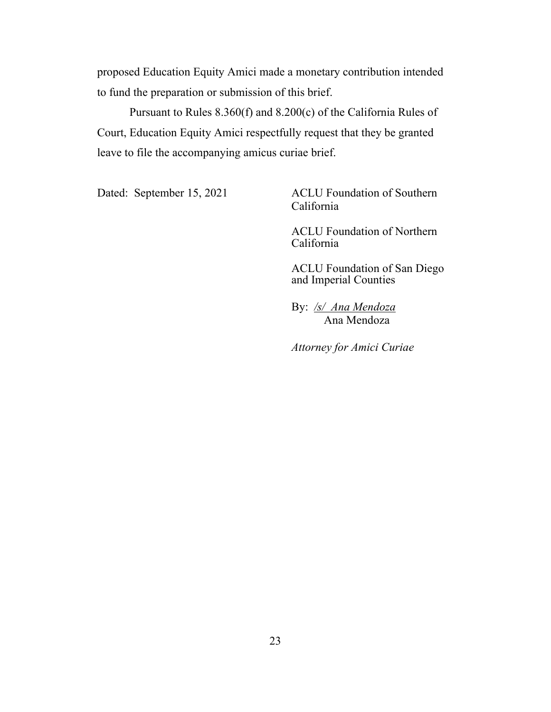proposed Education Equity Amici made a monetary contribution intended to fund the preparation or submission of this brief.

<span id="page-22-0"></span>Pursuant to Rules 8.360(f) and 8.200(c) of the California Rules of Court, Education Equity Amici respectfully request that they be granted leave to file the accompanying amicus curiae brief.

Dated: September 15, 2021 ACLU Foundation of Southern California

> ACLU Foundation of Northern California

ACLU Foundation of San Diego and Imperial Counties

By: */s/ Ana Mendoza* Ana Mendoza

*Attorney for Amici Curiae*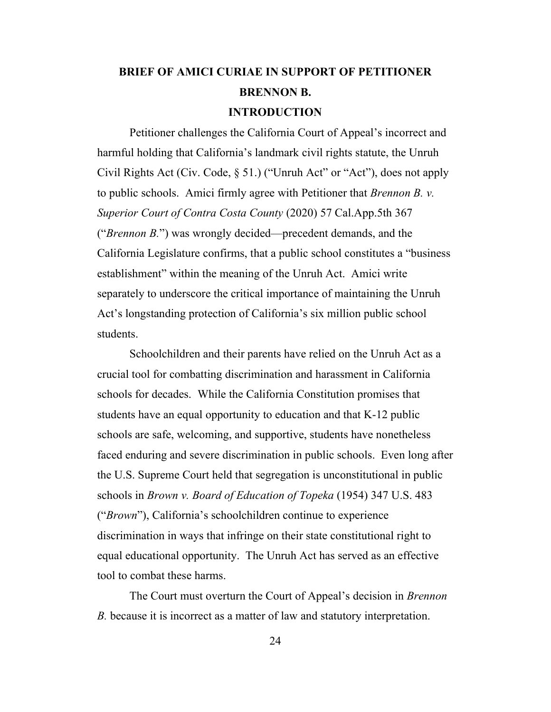# **BRIEF OF AMICI CURIAE IN SUPPORT OF PETITIONER BRENNON B. INTRODUCTION**

<span id="page-23-0"></span>Petitioner challenges the California Court of Appeal's incorrect and harmful holding that California's landmark civil rights statute, the Unruh Civil Rights Act (Civ. Code,  $\S$  51.) ("Unruh Act" or "Act"), does not apply to public schools. Amici firmly agree with Petitioner that *Brennon B. v. Superior Court of Contra Costa County* (2020) 57 Cal.App.5th 367 ("*Brennon B.*") was wrongly decided—precedent demands, and the California Legislature confirms, that a public school constitutes a "business establishment" within the meaning of the Unruh Act. Amici write separately to underscore the critical importance of maintaining the Unruh Act's longstanding protection of California's six million public school students.

Schoolchildren and their parents have relied on the Unruh Act as a crucial tool for combatting discrimination and harassment in California schools for decades. While the California Constitution promises that students have an equal opportunity to education and that K-12 public schools are safe, welcoming, and supportive, students have nonetheless faced enduring and severe discrimination in public schools. Even long after the U.S. Supreme Court held that segregation is unconstitutional in public schools in *Brown v. Board of Education of Topeka* (1954) 347 U.S. 483 ("*Brown*"), California's schoolchildren continue to experience discrimination in ways that infringe on their state constitutional right to equal educational opportunity. The Unruh Act has served as an effective tool to combat these harms.

<span id="page-23-1"></span>The Court must overturn the Court of Appeal's decision in *Brennon B.* because it is incorrect as a matter of law and statutory interpretation.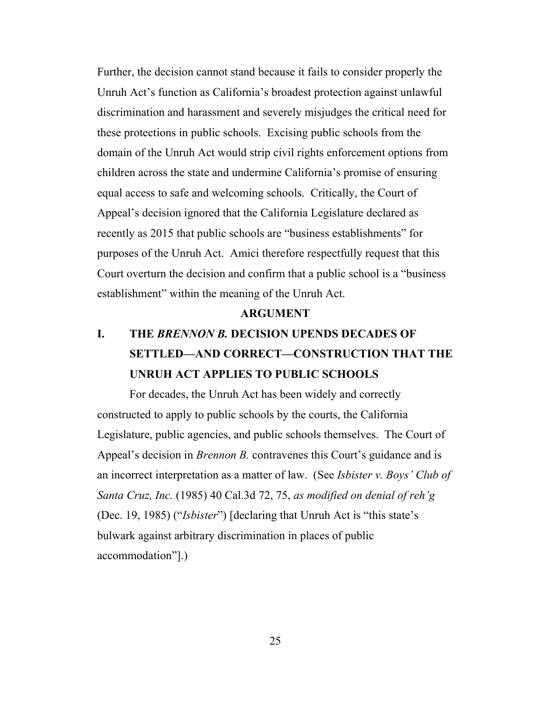Further, the decision cannot stand because it fails to consider properly the Unruh Act's function as California's broadest protection against unlawful discrimination and harassment and severely misjudges the critical need for these protections in public schools. Excising public schools from the domain of the Unruh Act would strip civil rights enforcement options from children across the state and undermine California's promise of ensuring equal access to safe and welcoming schools. Critically, the Court of Appeal's decision ignored that the California Legislature declared as recently as 2015 that public schools are "business establishments" for purposes of the Unruh Act. Amici therefore respectfully request that this Court overturn the decision and confirm that a public school is a "business establishment" within the meaning of the Unruh Act.

#### <span id="page-24-0"></span>**ARGUMENT**

# **I. THE** *BRENNON B.* **DECISION UPENDS DECADES OF SETTLED—AND CORRECT—CONSTRUCTION THAT THE UNRUH ACT APPLIES TO PUBLIC SCHOOLS**

For decades, the Unruh Act has been widely and correctly constructed to apply to public schools by the courts, the California Legislature, public agencies, and public schools themselves. The Court of Appeal's decision in *Brennon B.* contravenes this Court's guidance and is an incorrect interpretation as a matter of law. (See *Isbister v. Boys' Club of Santa Cruz, Inc.* (1985) 40 Cal.3d 72, 75, *as modified on denial of reh'g* (Dec. 19, 1985) ("*Isbister*") [declaring that Unruh Act is "this state's bulwark against arbitrary discrimination in places of public accommodation"].)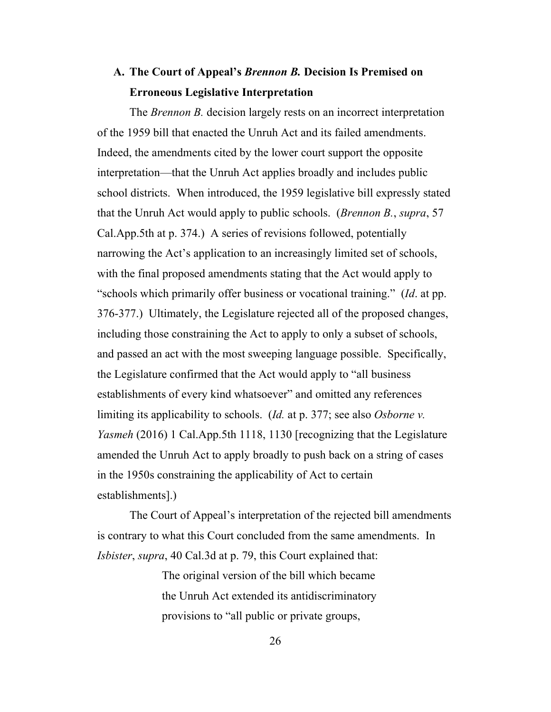# **A. The Court of Appeal's** *Brennon B.* **Decision Is Premised on Erroneous Legislative Interpretation**

The *Brennon B.* decision largely rests on an incorrect interpretation of the 1959 bill that enacted the Unruh Act and its failed amendments. Indeed, the amendments cited by the lower court support the opposite interpretation—that the Unruh Act applies broadly and includes public school districts. When introduced, the 1959 legislative bill expressly stated that the Unruh Act would apply to public schools. (*Brennon B.*, *supra*, 57 Cal.App.5th at p. 374.) A series of revisions followed, potentially narrowing the Act's application to an increasingly limited set of schools, with the final proposed amendments stating that the Act would apply to "schools which primarily offer business or vocational training." (*Id*. at pp. 376-377.) Ultimately, the Legislature rejected all of the proposed changes, including those constraining the Act to apply to only a subset of schools, and passed an act with the most sweeping language possible. Specifically, the Legislature confirmed that the Act would apply to "all business establishments of every kind whatsoever" and omitted any references limiting its applicability to schools. (*Id.* at p. 377; see also *Osborne v. Yasmeh* (2016) 1 Cal.App.5th 1118, 1130 [recognizing that the Legislature amended the Unruh Act to apply broadly to push back on a string of cases in the 1950s constraining the applicability of Act to certain establishments].)

The Court of Appeal's interpretation of the rejected bill amendments is contrary to what this Court concluded from the same amendments. In *Isbister*, *supra*, 40 Cal.3d at p. 79, this Court explained that:

> <span id="page-25-0"></span>The original version of the bill which became the Unruh Act extended its antidiscriminatory provisions to "all public or private groups,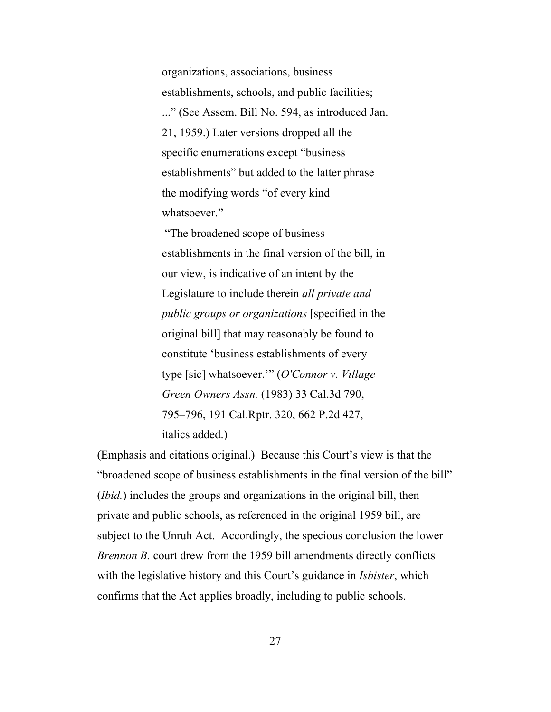organizations, associations, business establishments, schools, and public facilities; ..." (See Assem. Bill No. 594, as introduced Jan. 21, 1959.) Later versions dropped all the specific enumerations except "business establishments" but added to the latter phrase the modifying words "of every kind whatsoever."

"The broadened scope of business establishments in the final version of the bill, in our view, is indicative of an intent by the Legislature to include therein *all private and public groups or organizations* [specified in the original bill] that may reasonably be found to constitute 'business establishments of every type [sic] whatsoever.'" (*O'Connor v. Village Green Owners Assn.* (1983) 33 Cal.3d 790, 795–796, 191 Cal.Rptr. 320, 662 P.2d 427, italics added.)

(Emphasis and citations original.) Because this Court's view is that the "broadened scope of business establishments in the final version of the bill" (*Ibid.*) includes the groups and organizations in the original bill, then private and public schools, as referenced in the original 1959 bill, are subject to the Unruh Act. Accordingly, the specious conclusion the lower *Brennon B.* court drew from the 1959 bill amendments directly conflicts with the legislative history and this Court's guidance in *Isbister*, which confirms that the Act applies broadly, including to public schools.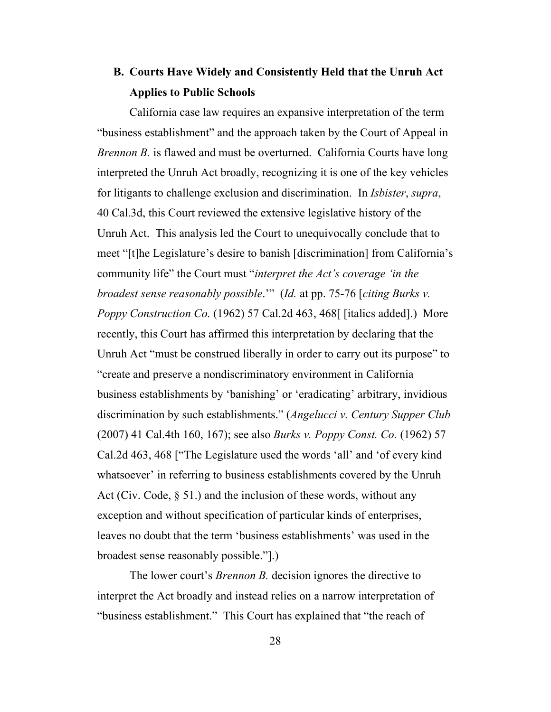# **B. Courts Have Widely and Consistently Held that the Unruh Act Applies to Public Schools**

California case law requires an expansive interpretation of the term "business establishment" and the approach taken by the Court of Appeal in *Brennon B.* is flawed and must be overturned. California Courts have long interpreted the Unruh Act broadly, recognizing it is one of the key vehicles for litigants to challenge exclusion and discrimination. In *Isbister*, *supra*, 40 Cal.3d, this Court reviewed the extensive legislative history of the Unruh Act. This analysis led the Court to unequivocally conclude that to meet "[t]he Legislature's desire to banish [discrimination] from California's community life" the Court must "*interpret the Act's coverage 'in the broadest sense reasonably possible*.'" (*Id.* at pp. 75-76 [*citing Burks v. Poppy Construction Co.* (1962) 57 Cal.2d 463, 468[ [italics added].) More recently, this Court has affirmed this interpretation by declaring that the Unruh Act "must be construed liberally in order to carry out its purpose" to "create and preserve a nondiscriminatory environment in California business establishments by 'banishing' or 'eradicating' arbitrary, invidious discrimination by such establishments." (*Angelucci v. Century Supper Club* (2007) 41 Cal.4th 160, 167); see also *Burks v. Poppy Const. Co.* (1962) 57 Cal.2d 463, 468 ["The Legislature used the words 'all' and 'of every kind whatsoever' in referring to business establishments covered by the Unruh Act (Civ. Code, § 51.) and the inclusion of these words, without any exception and without specification of particular kinds of enterprises, leaves no doubt that the term 'business establishments' was used in the broadest sense reasonably possible."].)

<span id="page-27-1"></span><span id="page-27-0"></span>The lower court's *Brennon B.* decision ignores the directive to interpret the Act broadly and instead relies on a narrow interpretation of "business establishment." This Court has explained that "the reach of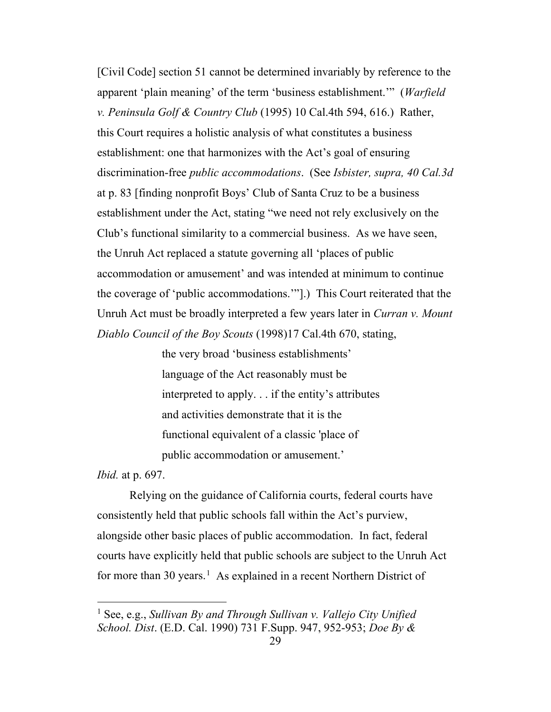<span id="page-28-3"></span>[Civil Code] section 51 cannot be determined invariably by reference to the apparent 'plain meaning' of the term 'business establishment.'" (*Warfield v. Peninsula Golf & Country Club* (1995) 10 Cal.4th 594, 616.) Rather, this Court requires a holistic analysis of what constitutes a business establishment: one that harmonizes with the Act's goal of ensuring discrimination-free *public accommodations*. (See *Isbister, supra, 40 Cal.3d*  at p. 83 [finding nonprofit Boys' Club of Santa Cruz to be a business establishment under the Act, stating "we need not rely exclusively on the Club's functional similarity to a commercial business. As we have seen, the Unruh Act replaced a statute governing all 'places of public accommodation or amusement' and was intended at minimum to continue the coverage of 'public accommodations.'"].) This Court reiterated that the Unruh Act must be broadly interpreted a few years later in *Curran v. Mount Diablo Council of the Boy Scouts* (1998)17 Cal.4th 670, stating,

> <span id="page-28-0"></span>the very broad 'business establishments' language of the Act reasonably must be interpreted to apply. . . if the entity's attributes and activities demonstrate that it is the functional equivalent of a classic 'place of public accommodation or amusement.'

*Ibid.* at p. 697.

Relying on the guidance of California courts, federal courts have consistently held that public schools fall within the Act's purview, alongside other basic places of public accommodation. In fact, federal courts have explicitly held that public schools are subject to the Unruh Act for more than 30 years.<sup>[1](#page-28-4)</sup> As explained in a recent Northern District of

<span id="page-28-4"></span><span id="page-28-2"></span><span id="page-28-1"></span><sup>1</sup> See, e.g., *Sullivan By and Through Sullivan v. Vallejo City Unified School. Dist*. (E.D. Cal. 1990) 731 F.Supp. 947, 952-953; *Doe By &*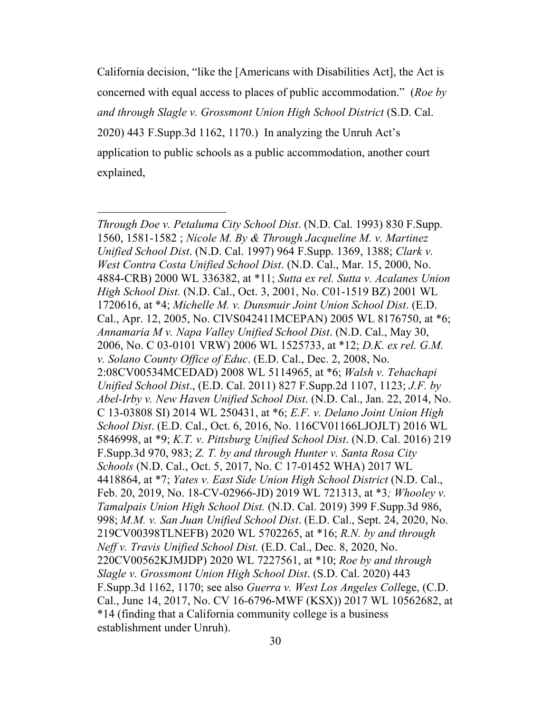California decision, "like the [Americans with Disabilities Act], the Act is concerned with equal access to places of public accommodation." (*Roe by and through Slagle v. Grossmont Union High School District* (S.D. Cal. 2020) 443 F.Supp.3d 1162, 1170.) In analyzing the Unruh Act's application to public schools as a public accommodation, another court explained,

<span id="page-29-16"></span><span id="page-29-15"></span><span id="page-29-14"></span><span id="page-29-13"></span><span id="page-29-12"></span><span id="page-29-11"></span><span id="page-29-10"></span><span id="page-29-9"></span><span id="page-29-8"></span><span id="page-29-7"></span><span id="page-29-6"></span><span id="page-29-5"></span><span id="page-29-4"></span><span id="page-29-3"></span><span id="page-29-2"></span><span id="page-29-1"></span><span id="page-29-0"></span>*Through Doe v. Petaluma City School Dist*. (N.D. Cal. 1993) 830 F.Supp. 1560, 1581-1582 ; *Nicole M. By & Through Jacqueline M. v. Martinez Unified School Dist*. (N.D. Cal. 1997) 964 F.Supp. 1369, 1388; *Clark v. West Contra Costa Unified School Dist*. (N.D. Cal., Mar. 15, 2000, No. 4884-CRB) 2000 WL 336382, at \*11; *Sutta ex rel. Sutta v. Acalanes Union High School Dist.* (N.D. Cal., Oct. 3, 2001, No. C01-1519 BZ) 2001 WL 1720616, at \*4; *Michelle M. v. Dunsmuir Joint Union School Dist*. (E.D. Cal., Apr. 12, 2005, No. CIVS042411MCEPAN) 2005 WL 8176750, at \*6; *Annamaria M v. Napa Valley Unified School Dist*. (N.D. Cal., May 30, 2006, No. C 03-0101 VRW) 2006 WL 1525733, at \*12; *D.K. ex rel. G.M. v. Solano County Office of Educ*. (E.D. Cal., Dec. 2, 2008, No. 2:08CV00534MCEDAD) 2008 WL 5114965, at \*6; *Walsh v. Tehachapi Unified School Dist*., (E.D. Cal. 2011) 827 F.Supp.2d 1107, 1123; *J.F. by Abel-Irby v. New Haven Unified School Dist*. (N.D. Cal., Jan. 22, 2014, No. C 13-03808 SI) 2014 WL 250431, at \*6; *E.F. v. Delano Joint Union High School Dist*. (E.D. Cal., Oct. 6, 2016, No. 116CV01166LJOJLT) 2016 WL 5846998, at \*9; *K.T. v. Pittsburg Unified School Dist*. (N.D. Cal. 2016) 219 F.Supp.3d 970, 983; *Z. T. by and through Hunter v. Santa Rosa City Schools* (N.D. Cal., Oct. 5, 2017, No. C 17-01452 WHA) 2017 WL 4418864, at \*7; *Yates v. East Side Union High School District* (N.D. Cal., Feb. 20, 2019, No. 18-CV-02966-JD) 2019 WL 721313, at \*3*; Whooley v. Tamalpais Union High School Dist.* (N.D. Cal. 2019) 399 F.Supp.3d 986, 998; *M.M. v. San Juan Unified School Dist*. (E.D. Cal., Sept. 24, 2020, No. 219CV00398TLNEFB) 2020 WL 5702265, at \*16; *R.N. by and through Neff v. Travis Unified School Dist.* (E.D. Cal., Dec. 8, 2020, No. 220CV00562KJMJDP) 2020 WL 7227561, at \*10; *Roe by and through Slagle v. Grossmont Union High School Dist*. (S.D. Cal. 2020) 443 F.Supp.3d 1162, 1170; see also *Guerra v. West Los Angeles Coll*ege, (C.D. Cal., June 14, 2017, No. CV 16-6796-MWF (KSX)) 2017 WL 10562682, at \*14 (finding that a California community college is a business establishment under Unruh).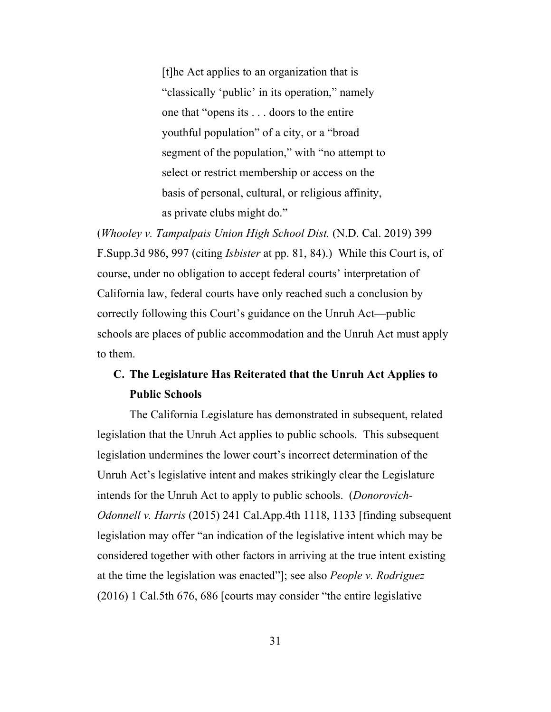[t]he Act applies to an organization that is "classically 'public' in its operation," namely one that "opens its . . . doors to the entire youthful population" of a city, or a "broad segment of the population," with "no attempt to select or restrict membership or access on the basis of personal, cultural, or religious affinity, as private clubs might do."

(*Whooley v. Tampalpais Union High School Dist.* (N.D. Cal. 2019) 399 F.Supp.3d 986, 997 (citing *Isbister* at pp. 81, 84).) While this Court is, of course, under no obligation to accept federal courts' interpretation of California law, federal courts have only reached such a conclusion by correctly following this Court's guidance on the Unruh Act—public schools are places of public accommodation and the Unruh Act must apply to them.

## <span id="page-30-0"></span>**C. The Legislature Has Reiterated that the Unruh Act Applies to Public Schools**

<span id="page-30-1"></span>The California Legislature has demonstrated in subsequent, related legislation that the Unruh Act applies to public schools. This subsequent legislation undermines the lower court's incorrect determination of the Unruh Act's legislative intent and makes strikingly clear the Legislature intends for the Unruh Act to apply to public schools. (*Donorovich-Odonnell v. Harris* (2015) 241 Cal.App.4th 1118, 1133 [finding subsequent legislation may offer "an indication of the legislative intent which may be considered together with other factors in arriving at the true intent existing at the time the legislation was enacted"]; see also *People v. Rodriguez* (2016) 1 Cal.5th 676, 686 [courts may consider "the entire legislative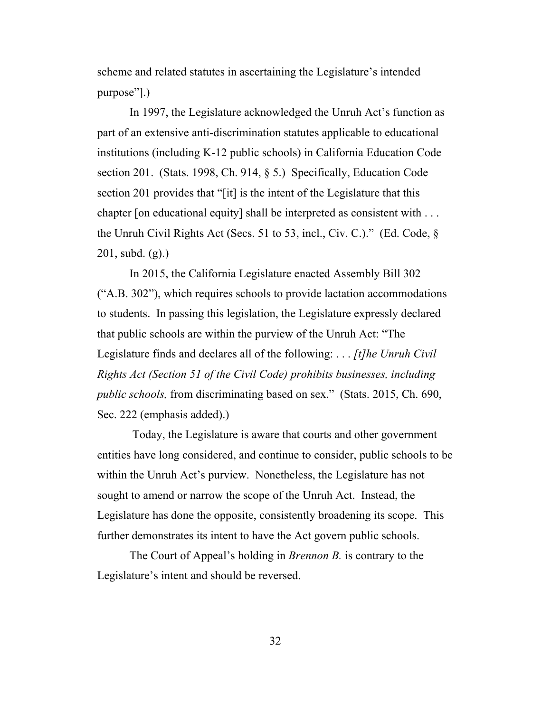scheme and related statutes in ascertaining the Legislature's intended purpose"].)

In 1997, the Legislature acknowledged the Unruh Act's function as part of an extensive anti-discrimination statutes applicable to educational institutions (including K-12 public schools) in California Education Code section 201. (Stats. 1998, Ch. 914, § 5.) Specifically, Education Code section 201 provides that "[it] is the intent of the Legislature that this chapter [on educational equity] shall be interpreted as consistent with . . . the Unruh Civil Rights Act (Secs. 51 to 53, incl., Civ. C.)." (Ed. Code, § 201, subd. (g).)

<span id="page-31-0"></span>In 2015, the California Legislature enacted Assembly Bill 302 ("A.B. 302"), which requires schools to provide lactation accommodations to students. In passing this legislation, the Legislature expressly declared that public schools are within the purview of the Unruh Act: "The Legislature finds and declares all of the following: . . . *[t]he Unruh Civil Rights Act (Section 51 of the Civil Code) prohibits businesses, including public schools,* from discriminating based on sex." (Stats. 2015, Ch. 690, Sec. 222 (emphasis added).)

Today, the Legislature is aware that courts and other government entities have long considered, and continue to consider, public schools to be within the Unruh Act's purview. Nonetheless, the Legislature has not sought to amend or narrow the scope of the Unruh Act. Instead, the Legislature has done the opposite, consistently broadening its scope. This further demonstrates its intent to have the Act govern public schools.

The Court of Appeal's holding in *Brennon B.* is contrary to the Legislature's intent and should be reversed.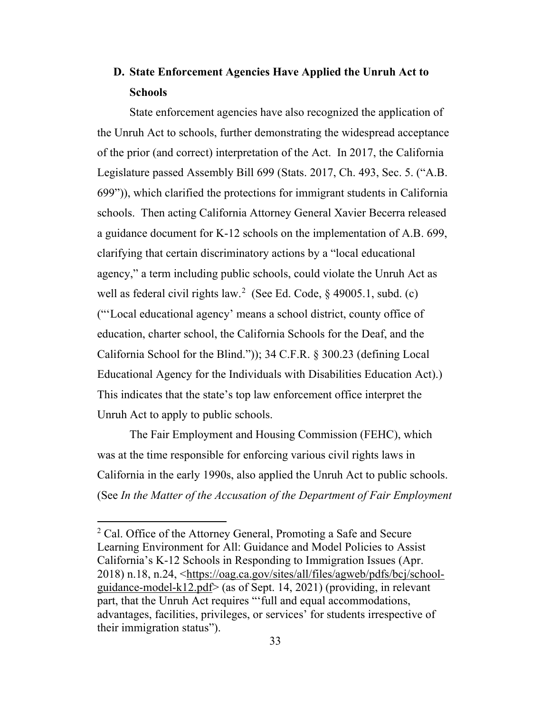# **D. State Enforcement Agencies Have Applied the Unruh Act to Schools**

State enforcement agencies have also recognized the application of the Unruh Act to schools, further demonstrating the widespread acceptance of the prior (and correct) interpretation of the Act. In 2017, the California Legislature passed Assembly Bill 699 (Stats. 2017, Ch. 493, Sec. 5. ("A.B. 699")), which clarified the protections for immigrant students in California schools. Then acting California Attorney General Xavier Becerra released a guidance document for K-12 schools on the implementation of A.B. 699, clarifying that certain discriminatory actions by a "local educational agency," a term including public schools, could violate the Unruh Act as well as federal civil rights law.<sup>[2](#page-32-3)</sup> (See Ed. Code, § 49005.1, subd. (c) ("'Local educational agency' means a school district, county office of education, charter school, the California Schools for the Deaf, and the California School for the Blind.")); 34 C.F.R. § 300.23 (defining Local Educational Agency for the Individuals with Disabilities Education Act).) This indicates that the state's top law enforcement office interpret the Unruh Act to apply to public schools.

<span id="page-32-1"></span><span id="page-32-0"></span>The Fair Employment and Housing Commission (FEHC), which was at the time responsible for enforcing various civil rights laws in California in the early 1990s, also applied the Unruh Act to public schools. (See *In the Matter of the Accusation of the Department of Fair Employment* 

<span id="page-32-3"></span><span id="page-32-2"></span><sup>2</sup> Cal. Office of the Attorney General, Promoting a Safe and Secure Learning Environment for All: Guidance and Model Policies to Assist California's K-12 Schools in Responding to Immigration Issues (Apr. 2018) n.18, n.24, [<https://oag.ca.gov/sites/all/files/agweb/pdfs/bcj/school](https://oag.ca.gov/sites/all/files/agweb/pdfs/bcj/school-guidance-model-k12.pdf)[guidance-model-k12.pdf>](https://oag.ca.gov/sites/all/files/agweb/pdfs/bcj/school-guidance-model-k12.pdf) (as of Sept. 14, 2021) (providing, in relevant part, that the Unruh Act requires "'full and equal accommodations, advantages, facilities, privileges, or services' for students irrespective of their immigration status").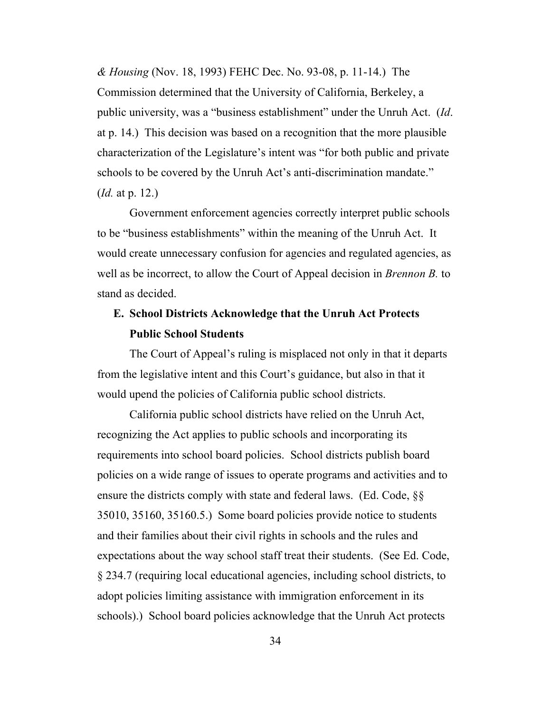*& Housing* (Nov. 18, 1993) FEHC Dec. No. 93-08, p. 11-14.) The Commission determined that the University of California, Berkeley, a public university, was a "business establishment" under the Unruh Act. (*Id*. at p. 14.) This decision was based on a recognition that the more plausible characterization of the Legislature's intent was "for both public and private schools to be covered by the Unruh Act's anti-discrimination mandate." (*Id.* at p. 12.)

Government enforcement agencies correctly interpret public schools to be "business establishments" within the meaning of the Unruh Act. It would create unnecessary confusion for agencies and regulated agencies, as well as be incorrect, to allow the Court of Appeal decision in *Brennon B.* to stand as decided.

## **E. School Districts Acknowledge that the Unruh Act Protects Public School Students**

The Court of Appeal's ruling is misplaced not only in that it departs from the legislative intent and this Court's guidance, but also in that it would upend the policies of California public school districts.

<span id="page-33-1"></span><span id="page-33-0"></span>California public school districts have relied on the Unruh Act, recognizing the Act applies to public schools and incorporating its requirements into school board policies. School districts publish board policies on a wide range of issues to operate programs and activities and to ensure the districts comply with state and federal laws. (Ed. Code, §§ 35010, 35160, 35160.5.) Some board policies provide notice to students and their families about their civil rights in schools and the rules and expectations about the way school staff treat their students. (See Ed. Code, § 234.7 (requiring local educational agencies, including school districts, to adopt policies limiting assistance with immigration enforcement in its schools).) School board policies acknowledge that the Unruh Act protects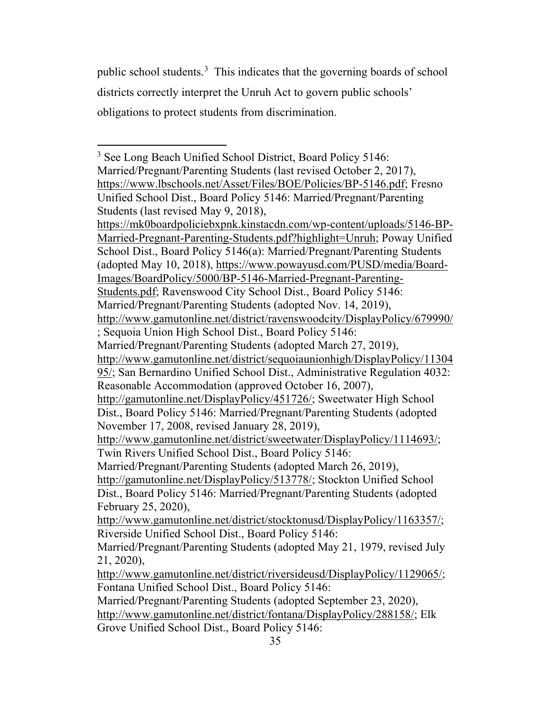public school students.<sup>[3](#page-34-1)</sup> This indicates that the governing boards of school districts correctly interpret the Unruh Act to govern public schools' obligations to protect students from discrimination.

<span id="page-34-1"></span><span id="page-34-0"></span><sup>3</sup> See Long Beach Unified School District, Board Policy 5146: Married/Pregnant/Parenting Students (last revised October 2, 2017), [https://www.lbschools.net/Asset/Files/BOE/Policies/BP-5146.pdf;](https://www.lbschools.net/Asset/Files/BOE/Policies/BP-5146.pdf) Fresno Unified School Dist., Board Policy 5146: Married/Pregnant/Parenting Students (last revised May 9, 2018), [https://mk0boardpoliciebxpnk.kinstacdn.com/wp-content/uploads/5146-BP-](https://mk0boardpoliciebxpnk.kinstacdn.com/wp-content/uploads/5146-BP-Married-Pregnant-Parenting-Students.pdf?highlight=Unruh)[Married-Pregnant-Parenting-Students.pdf?highlight=Unruh;](https://mk0boardpoliciebxpnk.kinstacdn.com/wp-content/uploads/5146-BP-Married-Pregnant-Parenting-Students.pdf?highlight=Unruh) Poway Unified School Dist., Board Policy 5146(a): Married/Pregnant/Parenting Students (adopted May 10, 2018), [https://www.powayusd.com/PUSD/media/Board-](https://www.powayusd.com/PUSD/media/Board-Images/BoardPolicy/5000/BP-5146-Married-Pregnant-Parenting-Students.pdf)[Images/BoardPolicy/5000/BP-5146-Married-Pregnant-Parenting-](https://www.powayusd.com/PUSD/media/Board-Images/BoardPolicy/5000/BP-5146-Married-Pregnant-Parenting-Students.pdf)[Students.pdf;](https://www.powayusd.com/PUSD/media/Board-Images/BoardPolicy/5000/BP-5146-Married-Pregnant-Parenting-Students.pdf) Ravenswood City School Dist., Board Policy 5146: Married/Pregnant/Parenting Students (adopted Nov. 14, 2019), <http://www.gamutonline.net/district/ravenswoodcity/DisplayPolicy/679990/> ; Sequoia Union High School Dist., Board Policy 5146: Married/Pregnant/Parenting Students (adopted March 27, 2019), [http://www.gamutonline.net/district/sequoiaunionhigh/DisplayPolicy/11304](http://www.gamutonline.net/district/sequoiaunionhigh/DisplayPolicy/1130495/) [95/;](http://www.gamutonline.net/district/sequoiaunionhigh/DisplayPolicy/1130495/) San Bernardino Unified School Dist., Administrative Regulation 4032: Reasonable Accommodation (approved October 16, 2007), [http://gamutonline.net/DisplayPolicy/451726/;](http://gamutonline.net/DisplayPolicy/451726/) Sweetwater High School Dist., Board Policy 5146: Married/Pregnant/Parenting Students (adopted November 17, 2008, revised January 28, 2019), [http://www.gamutonline.net/district/sweetwater/DisplayPolicy/1114693/;](http://www.gamutonline.net/district/sweetwater/DisplayPolicy/1114693/) Twin Rivers Unified School Dist., Board Policy 5146: Married/Pregnant/Parenting Students (adopted March 26, 2019), [http://gamutonline.net/DisplayPolicy/513778/;](http://gamutonline.net/DisplayPolicy/513778/) Stockton Unified School Dist., Board Policy 5146: Married/Pregnant/Parenting Students (adopted February 25, 2020), [http://www.gamutonline.net/district/stocktonusd/DisplayPolicy/1163357/;](http://www.gamutonline.net/district/stocktonusd/DisplayPolicy/1163357/) Riverside Unified School Dist., Board Policy 5146: Married/Pregnant/Parenting Students (adopted May 21, 1979, revised July 21, 2020), [http://www.gamutonline.net/district/riversideusd/DisplayPolicy/1129065/;](http://www.gamutonline.net/district/riversideusd/DisplayPolicy/1129065/) Fontana Unified School Dist., Board Policy 5146: Married/Pregnant/Parenting Students (adopted September 23, 2020), [http://www.gamutonline.net/district/fontana/DisplayPolicy/288158/;](http://www.gamutonline.net/district/fontana/DisplayPolicy/288158/) Elk

Grove Unified School Dist., Board Policy 5146: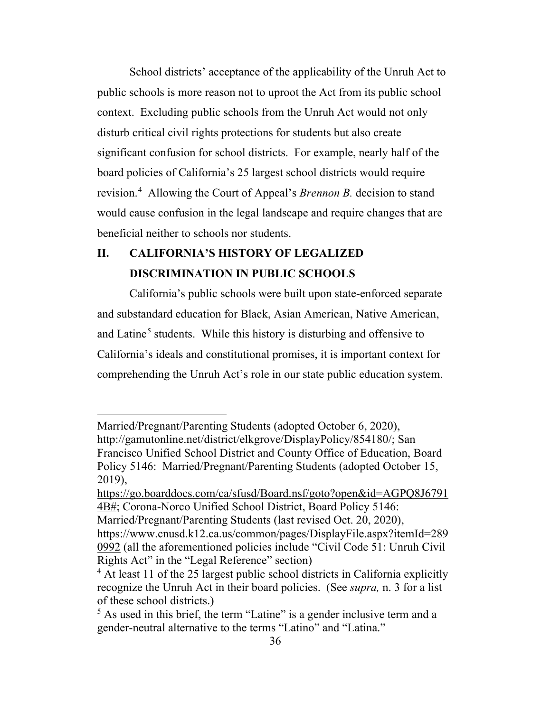School districts' acceptance of the applicability of the Unruh Act to public schools is more reason not to uproot the Act from its public school context. Excluding public schools from the Unruh Act would not only disturb critical civil rights protections for students but also create significant confusion for school districts. For example, nearly half of the board policies of California's 25 largest school districts would require revision.[4](#page-35-0) Allowing the Court of Appeal's *Brennon B.* decision to stand would cause confusion in the legal landscape and require changes that are beneficial neither to schools nor students.

# **II. CALIFORNIA'S HISTORY OF LEGALIZED DISCRIMINATION IN PUBLIC SCHOOLS**

California's public schools were built upon state-enforced separate and substandard education for Black, Asian American, Native American, and Latine<sup>[5](#page-35-1)</sup> students. While this history is disturbing and offensive to California's ideals and constitutional promises, it is important context for comprehending the Unruh Act's role in our state public education system.

Married/Pregnant/Parenting Students (adopted October 6, 2020), [http://gamutonline.net/district/elkgrove/DisplayPolicy/854180/;](http://gamutonline.net/district/elkgrove/DisplayPolicy/854180/) San Francisco Unified School District and County Office of Education, Board Policy 5146: Married/Pregnant/Parenting Students (adopted October 15, 2019),

[https://go.boarddocs.com/ca/sfusd/Board.nsf/goto?open&id=AGPQ8J6791](https://go.boarddocs.com/ca/sfusd/Board.nsf/goto?open&id=AGPQ8J67914B) [4B#;](https://go.boarddocs.com/ca/sfusd/Board.nsf/goto?open&id=AGPQ8J67914B) Corona-Norco Unified School District, Board Policy 5146: Married/Pregnant/Parenting Students (last revised Oct. 20, 2020),

[https://www.cnusd.k12.ca.us/common/pages/DisplayFile.aspx?itemId=289](https://www.cnusd.k12.ca.us/common/pages/DisplayFile.aspx?itemId=2890992) [0992](https://www.cnusd.k12.ca.us/common/pages/DisplayFile.aspx?itemId=2890992) (all the aforementioned policies include "Civil Code 51: Unruh Civil Rights Act" in the "Legal Reference" section)

<span id="page-35-0"></span><sup>&</sup>lt;sup>4</sup> At least 11 of the 25 largest public school districts in California explicitly recognize the Unruh Act in their board policies. (See *supra,* n. 3 for a list of these school districts.)

<span id="page-35-1"></span><sup>&</sup>lt;sup>5</sup> As used in this brief, the term "Latine" is a gender inclusive term and a gender-neutral alternative to the terms "Latino" and "Latina."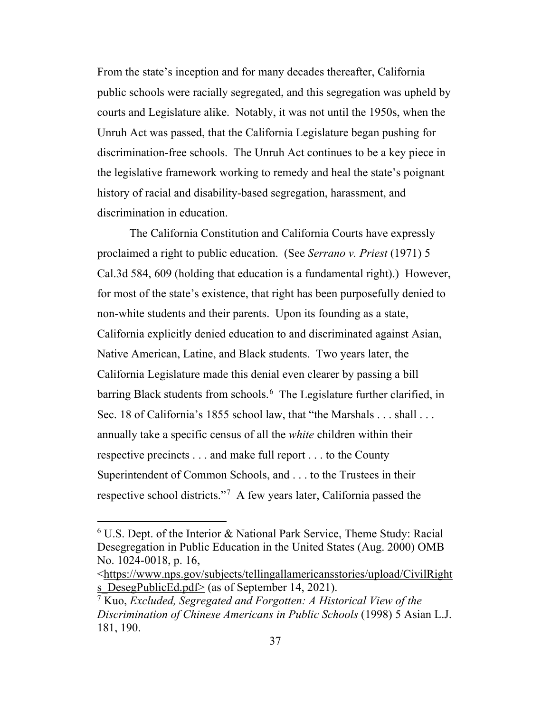From the state's inception and for many decades thereafter, California public schools were racially segregated, and this segregation was upheld by courts and Legislature alike. Notably, it was not until the 1950s, when the Unruh Act was passed, that the California Legislature began pushing for discrimination-free schools. The Unruh Act continues to be a key piece in the legislative framework working to remedy and heal the state's poignant history of racial and disability-based segregation, harassment, and discrimination in education.

<span id="page-36-0"></span>The California Constitution and California Courts have expressly proclaimed a right to public education. (See *Serrano v. Priest* (1971) 5 Cal.3d 584, 609 (holding that education is a fundamental right).) However, for most of the state's existence, that right has been purposefully denied to non-white students and their parents. Upon its founding as a state, California explicitly denied education to and discriminated against Asian, Native American, Latine, and Black students. Two years later, the California Legislature made this denial even clearer by passing a bill barring Black students from schools.<sup>[6](#page-36-4)</sup> The Legislature further clarified, in Sec. 18 of California's 1855 school law, that "the Marshals . . . shall . . . annually take a specific census of all the *white* children within their respective precincts . . . and make full report . . . to the County Superintendent of Common Schools, and . . . to the Trustees in their respective school districts."[7](#page-36-5) A few years later, California passed the

<span id="page-36-4"></span><span id="page-36-3"></span><span id="page-36-1"></span> $6$  U.S. Dept. of the Interior & National Park Service, Theme Study: Racial Desegregation in Public Education in the United States (Aug. 2000) OMB No. 1024-0018, p. 16,

[<sup>&</sup>lt;https://www.nps.gov/subjects/tellingallamericansstories/upload/CivilRight](https://www.nps.gov/subjects/tellingallamericansstories/upload/CivilRights_DesegPublicEd.pdf) s DesegPublicEd.pdf $\ge$  (as of September 14, 2021).

<span id="page-36-5"></span><span id="page-36-2"></span><sup>7</sup> Kuo, *Excluded, Segregated and Forgotten: A Historical View of the Discrimination of Chinese Americans in Public Schools* (1998) 5 Asian L.J. 181, 190.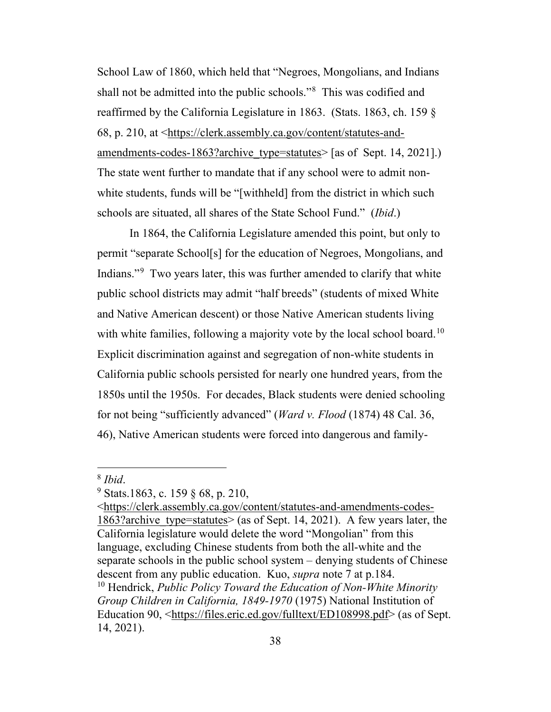School Law of 1860, which held that "Negroes, Mongolians, and Indians shall not be admitted into the public schools."[8](#page-37-2) This was codified and reaffirmed by the California Legislature in 1863. (Stats. 1863, ch. 159 § 68, p. 210, at [<https://clerk.assembly.ca.gov/content/statutes-and](https://clerk.assembly.ca.gov/content/statutes-and-amendments-codes-1863?archive_type=statutes)[amendments-codes-1863?archive\\_type=statutes>](https://clerk.assembly.ca.gov/content/statutes-and-amendments-codes-1863?archive_type=statutes) [as of Sept. 14, 2021].) The state went further to mandate that if any school were to admit nonwhite students, funds will be "[withheld] from the district in which such schools are situated, all shares of the State School Fund." (*Ibid*.)

In 1864, the California Legislature amended this point, but only to permit "separate School[s] for the education of Negroes, Mongolians, and Indians."[9](#page-37-3) Two years later, this was further amended to clarify that white public school districts may admit "half breeds" (students of mixed White and Native American descent) or those Native American students living with white families, following a majority vote by the local school board.<sup>10</sup> Explicit discrimination against and segregation of non-white students in California public schools persisted for nearly one hundred years, from the 1850s until the 1950s. For decades, Black students were denied schooling for not being "sufficiently advanced" (*Ward v. Flood* (1874) 48 Cal. 36, 46), Native American students were forced into dangerous and family-

<span id="page-37-4"></span><span id="page-37-1"></span>[<https://clerk.assembly.ca.gov/content/statutes-and-amendments-codes-](https://clerk.assembly.ca.gov/content/statutes-and-amendments-codes-1863?archive_type=statutes)1863?archive type=statutes> (as of Sept. 14, 2021). A few years later, the California legislature would delete the word "Mongolian" from this language, excluding Chinese students from both the all-white and the separate schools in the public school system – denying students of Chinese descent from any public education. Kuo, *supra* note 7 at p.184. <sup>10</sup> Hendrick, *Public Policy Toward the Education of Non-White Minority Group Children in California, 1849-1970* (1975) National Institution of Education 90, [<https://files.eric.ed.gov/fulltext/ED108998.pdf>](https://files.eric.ed.gov/fulltext/ED108998.pdf) (as of Sept. 14, 2021).

<span id="page-37-2"></span><span id="page-37-0"></span><sup>8</sup> *Ibid*.

<span id="page-37-3"></span><sup>9</sup> Stats.1863, c. 159 § 68, p. 210,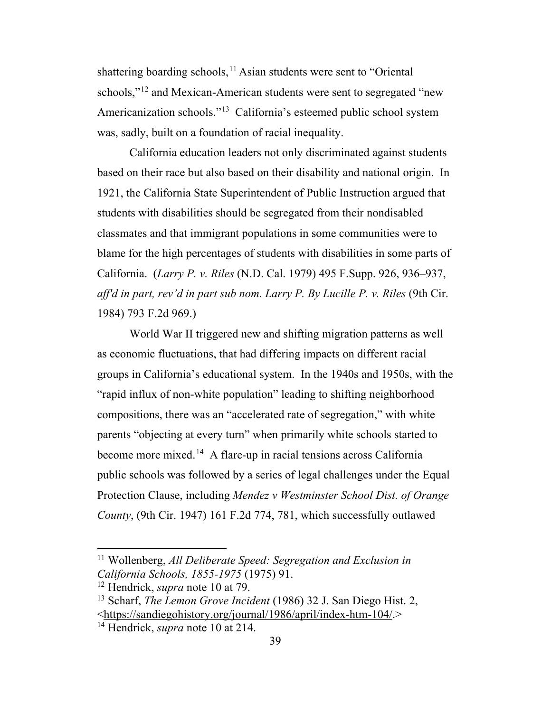shattering boarding schools,<sup>[11](#page-38-4)</sup> Asian students were sent to "Oriental schools,"<sup>[12](#page-38-5)</sup> and Mexican-American students were sent to segregated "new Americanization schools."[13](#page-38-6) California's esteemed public school system was, sadly, built on a foundation of racial inequality.

California education leaders not only discriminated against students based on their race but also based on their disability and national origin. In 1921, the California State Superintendent of Public Instruction argued that students with disabilities should be segregated from their nondisabled classmates and that immigrant populations in some communities were to blame for the high percentages of students with disabilities in some parts of California. (*Larry P. v. Riles* (N.D. Cal. 1979) 495 F.Supp. 926, 936–937, *aff'd in part, rev'd in part sub nom. Larry P. By Lucille P. v. Riles* (9th Cir. 1984) 793 F.2d 969.)

<span id="page-38-0"></span>World War II triggered new and shifting migration patterns as well as economic fluctuations, that had differing impacts on different racial groups in California's educational system. In the 1940s and 1950s, with the "rapid influx of non-white population" leading to shifting neighborhood compositions, there was an "accelerated rate of segregation," with white parents "objecting at every turn" when primarily white schools started to become more mixed.<sup>14</sup> A flare-up in racial tensions across California public schools was followed by a series of legal challenges under the Equal Protection Clause, including *Mendez v Westminster School Dist. of Orange County*, (9th Cir. 1947) 161 F.2d 774, 781, which successfully outlawed

<span id="page-38-4"></span><span id="page-38-3"></span><span id="page-38-1"></span><sup>11</sup> Wollenberg, *All Deliberate Speed: Segregation and Exclusion in California Schools, 1855-1975* (1975) 91.

<span id="page-38-5"></span><sup>12</sup> Hendrick, *supra* note 10 at 79.

<span id="page-38-6"></span><span id="page-38-2"></span><sup>13</sup> Scharf, *The Lemon Grove Incident* (1986) 32 J. San Diego Hist. 2, [<https://sandiegohistory.org/journal/1986/april/index-htm-104/.](https://sandiegohistory.org/journal/1986/april/index-htm-104/)>

<span id="page-38-7"></span><sup>14</sup> Hendrick, *supra* note 10 at 214.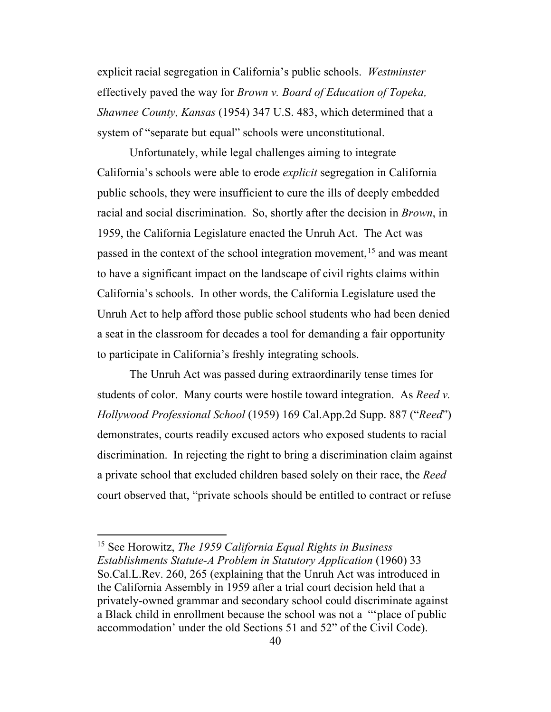<span id="page-39-0"></span>explicit racial segregation in California's public schools. *Westminster*  effectively paved the way for *Brown v. Board of Education of Topeka, Shawnee County, Kansas* (1954) 347 U.S. 483, which determined that a system of "separate but equal" schools were unconstitutional.

Unfortunately, while legal challenges aiming to integrate California's schools were able to erode *explicit* segregation in California public schools, they were insufficient to cure the ills of deeply embedded racial and social discrimination. So, shortly after the decision in *Brown*, in 1959, the California Legislature enacted the Unruh Act. The Act was passed in the context of the school integration movement,<sup>[15](#page-39-3)</sup> and was meant to have a significant impact on the landscape of civil rights claims within California's schools. In other words, the California Legislature used the Unruh Act to help afford those public school students who had been denied a seat in the classroom for decades a tool for demanding a fair opportunity to participate in California's freshly integrating schools.

<span id="page-39-1"></span>The Unruh Act was passed during extraordinarily tense times for students of color. Many courts were hostile toward integration. As *Reed v. Hollywood Professional School* (1959) 169 Cal.App.2d Supp. 887 ("*Reed*") demonstrates, courts readily excused actors who exposed students to racial discrimination. In rejecting the right to bring a discrimination claim against a private school that excluded children based solely on their race, the *Reed* court observed that, "private schools should be entitled to contract or refuse

<span id="page-39-3"></span><span id="page-39-2"></span><sup>15</sup> See Horowitz, *The 1959 California Equal Rights in Business Establishments Statute-A Problem in Statutory Application* (1960) 33 So.Cal.L.Rev. 260, 265 (explaining that the Unruh Act was introduced in the California Assembly in 1959 after a trial court decision held that a privately-owned grammar and secondary school could discriminate against a Black child in enrollment because the school was not a "'place of public accommodation' under the old Sections 51 and 52" of the Civil Code).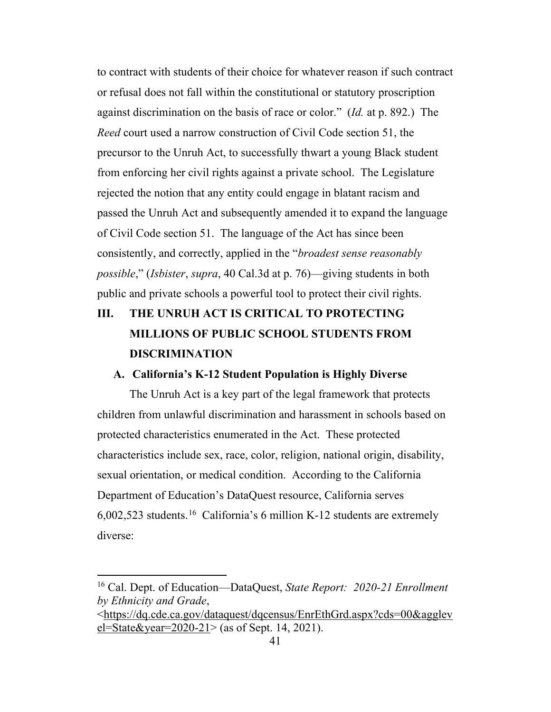to contract with students of their choice for whatever reason if such contract or refusal does not fall within the constitutional or statutory proscription against discrimination on the basis of race or color." (*Id.* at p. 892.) The *Reed* court used a narrow construction of Civil Code section 51, the precursor to the Unruh Act, to successfully thwart a young Black student from enforcing her civil rights against a private school. The Legislature rejected the notion that any entity could engage in blatant racism and passed the Unruh Act and subsequently amended it to expand the language of Civil Code section 51. The language of the Act has since been consistently, and correctly, applied in the "*broadest sense reasonably possible*," (*Isbister*, *supra*, 40 Cal.3d at p. 76)—giving students in both public and private schools a powerful tool to protect their civil rights.

# **III. THE UNRUH ACT IS CRITICAL TO PROTECTING MILLIONS OF PUBLIC SCHOOL STUDENTS FROM DISCRIMINATION**

#### **A. California's K-12 Student Population is Highly Diverse**

The Unruh Act is a key part of the legal framework that protects children from unlawful discrimination and harassment in schools based on protected characteristics enumerated in the Act. These protected characteristics include sex, race, color, religion, national origin, disability, sexual orientation, or medical condition. According to the California Department of Education's DataQuest resource, California serves  $6,002,523$  students.<sup>[16](#page-40-1)</sup> California's 6 million K-12 students are extremely diverse:

<span id="page-40-1"></span><span id="page-40-0"></span><sup>16</sup> Cal. Dept. of Education—DataQuest, *State Report: 2020-21 Enrollment by Ethnicity and Grade*,

[<sup>&</sup>lt;https://dq.cde.ca.gov/dataquest/dqcensus/EnrEthGrd.aspx?cds=00&agglev](https://dq.cde.ca.gov/dataquest/dqcensus/EnrEthGrd.aspx?cds=00&agglevel=State&year=2020-21) [el=State&year=2020-21>](https://dq.cde.ca.gov/dataquest/dqcensus/EnrEthGrd.aspx?cds=00&agglevel=State&year=2020-21) (as of Sept. 14, 2021).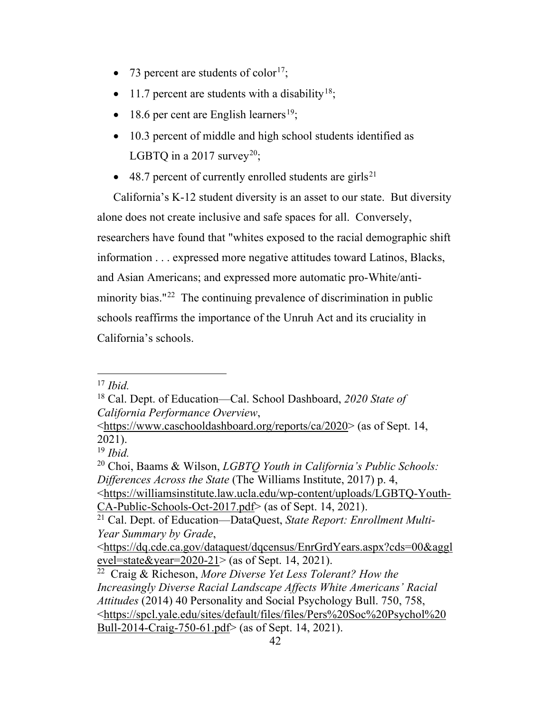- 73 percent are students of color<sup>17</sup>;
- 11.7 percent are students with a disability<sup>[18](#page-41-4)</sup>;
- 18.6 per cent are English learners<sup>[19](#page-41-5)</sup>;
- 10.3 percent of middle and high school students identified as LGBTQ in a [20](#page-41-6)17 survey<sup>20</sup>;
- $\bullet$  48.7 percent of currently enrolled students are girls<sup>[21](#page-41-7)</sup>

California's K-12 student diversity is an asset to our state. But diversity alone does not create inclusive and safe spaces for all. Conversely, researchers have found that "whites exposed to the racial demographic shift information . . . expressed more negative attitudes toward Latinos, Blacks, and Asian Americans; and expressed more automatic pro-White/anti-minority bias."<sup>[22](#page-41-8)</sup> The continuing prevalence of discrimination in public schools reaffirms the importance of the Unruh Act and its cruciality in California's schools.

<span id="page-41-3"></span><sup>17</sup> *Ibid.*

<span id="page-41-4"></span><span id="page-41-0"></span><sup>18</sup> Cal. Dept. of Education—Cal. School Dashboard, *2020 State of California Performance Overview*,

[<sup>&</sup>lt;https://www.caschooldashboard.org/reports/ca/2020>](https://www.caschooldashboard.org/reports/ca/2020) (as of Sept. 14, 2021).

<sup>19</sup> *Ibid.*

<span id="page-41-8"></span><span id="page-41-7"></span><span id="page-41-6"></span><span id="page-41-5"></span><span id="page-41-2"></span><span id="page-41-1"></span><sup>20</sup> Choi, Baams & Wilson, *LGBTQ Youth in California's Public Schools: Differences Across the State* (The Williams Institute, 2017) p. 4, [<https://williamsinstitute.law.ucla.edu/wp-content/uploads/LGBTQ-Youth-](https://williamsinstitute.law.ucla.edu/wp-content/uploads/LGBTQ-Youth-CA-Public-Schools-Oct-2017.pdf)[CA-Public-Schools-Oct-2017.pdf>](https://williamsinstitute.law.ucla.edu/wp-content/uploads/LGBTQ-Youth-CA-Public-Schools-Oct-2017.pdf) (as of Sept. 14, 2021). <sup>21</sup> Cal. Dept. of Education—DataQuest, *State Report: Enrollment Multi-Year Summary by Grade*, [<https://dq.cde.ca.gov/dataquest/dqcensus/EnrGrdYears.aspx?cds=00&aggl](https://dq.cde.ca.gov/dataquest/dqcensus/EnrGrdYears.aspx?cds=00&agglevel=state&year=2020-21) evel=state&year= $2020-21$  > (as of Sept. 14, 2021). <sup>22</sup> Craig & Richeson, *More Diverse Yet Less Tolerant? How the Increasingly Diverse Racial Landscape Affects White Americans' Racial Attitudes* (2014) 40 Personality and Social Psychology Bull. 750, 758, [<https://spcl.yale.edu/sites/default/files/files/Pers%20Soc%20Psychol%20](https://spcl.yale.edu/sites/default/files/files/Pers%20Soc%20Psychol%20Bull-2014-Craig-750-61.pdf) [Bull-2014-Craig-750-61.pdf>](https://spcl.yale.edu/sites/default/files/files/Pers%20Soc%20Psychol%20Bull-2014-Craig-750-61.pdf) (as of Sept. 14, 2021).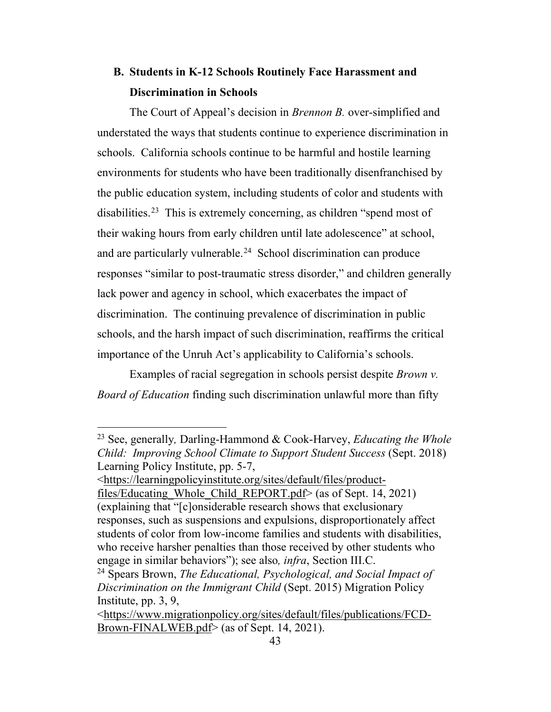## **B. Students in K-12 Schools Routinely Face Harassment and Discrimination in Schools**

The Court of Appeal's decision in *Brennon B.* over-simplified and understated the ways that students continue to experience discrimination in schools. California schools continue to be harmful and hostile learning environments for students who have been traditionally disenfranchised by the public education system, including students of color and students with disabilities.<sup>23</sup> This is extremely concerning, as children "spend most of their waking hours from early children until late adolescence" at school, and are particularly vulnerable.[24](#page-42-4) School discrimination can produce responses "similar to post-traumatic stress disorder," and children generally lack power and agency in school, which exacerbates the impact of discrimination. The continuing prevalence of discrimination in public schools, and the harsh impact of such discrimination, reaffirms the critical importance of the Unruh Act's applicability to California's schools.

<span id="page-42-0"></span>Examples of racial segregation in schools persist despite *Brown v. Board of Education* finding such discrimination unlawful more than fifty

[<https://learningpolicyinstitute.org/sites/default/files/product](https://learningpolicyinstitute.org/sites/default/files/product-files/Educating_Whole_Child_REPORT.pdf)files/Educating Whole Child REPORT.pdf> (as of Sept. 14, 2021) (explaining that "[c]onsiderable research shows that exclusionary responses, such as suspensions and expulsions, disproportionately affect students of color from low-income families and students with disabilities, who receive harsher penalties than those received by other students who engage in similar behaviors"); see also*, infra*, Section III.C. <sup>24</sup> Spears Brown, *The Educational, Psychological, and Social Impact of* 

<span id="page-42-3"></span><span id="page-42-1"></span><sup>23</sup> See, generally*,* Darling-Hammond & Cook-Harvey, *Educating the Whole Child: Improving School Climate to Support Student Success* (Sept. 2018) Learning Policy Institute, pp. 5-7,

<span id="page-42-4"></span><span id="page-42-2"></span>*Discrimination on the Immigrant Child* (Sept. 2015) Migration Policy Institute, pp. 3, 9,

[<sup>&</sup>lt;https://www.migrationpolicy.org/sites/default/files/publications/FCD-](https://www.migrationpolicy.org/sites/default/files/publications/FCD-Brown-FINALWEB.pdf)[Brown-FINALWEB.pdf>](https://www.migrationpolicy.org/sites/default/files/publications/FCD-Brown-FINALWEB.pdf) (as of Sept. 14, 2021).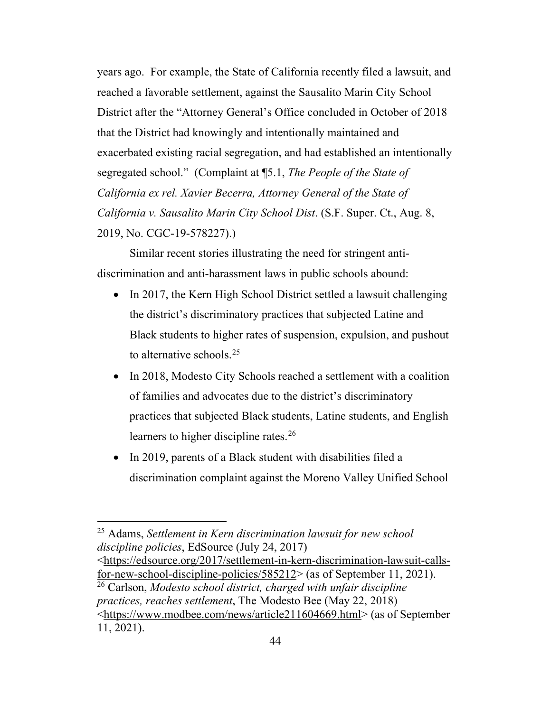years ago. For example, the State of California recently filed a lawsuit, and reached a favorable settlement, against the Sausalito Marin City School District after the "Attorney General's Office concluded in October of 2018 that the District had knowingly and intentionally maintained and exacerbated existing racial segregation, and had established an intentionally segregated school." (Complaint at ¶5.1, *The People of the State of California ex rel. Xavier Becerra, Attorney General of the State of California v. Sausalito Marin City School Dist*. (S.F. Super. Ct., Aug. 8, 2019, No. CGC-19-578227).)

<span id="page-43-0"></span>Similar recent stories illustrating the need for stringent antidiscrimination and anti-harassment laws in public schools abound:

- In 2017, the Kern High School District settled a lawsuit challenging the district's discriminatory practices that subjected Latine and Black students to higher rates of suspension, expulsion, and pushout to alternative schools.[25](#page-43-3)
- In 2018, Modesto City Schools reached a settlement with a coalition of families and advocates due to the district's discriminatory practices that subjected Black students, Latine students, and English learners to higher discipline rates.<sup>[26](#page-43-4)</sup>
- In 2019, parents of a Black student with disabilities filed a discrimination complaint against the Moreno Valley Unified School

<span id="page-43-3"></span><span id="page-43-1"></span><sup>25</sup> Adams, *Settlement in Kern discrimination lawsuit for new school discipline policies*, EdSource (July 24, 2017)

<span id="page-43-4"></span><span id="page-43-2"></span>[<sup>&</sup>lt;https://edsource.org/2017/settlement-in-kern-discrimination-lawsuit-calls](https://edsource.org/2017/settlement-in-kern-discrimination-lawsuit-calls-for-new-school-discipline-policies/585212)[for-new-school-discipline-policies/585212>](https://edsource.org/2017/settlement-in-kern-discrimination-lawsuit-calls-for-new-school-discipline-policies/585212) (as of September 11, 2021). <sup>26</sup> Carlson, *Modesto school district, charged with unfair discipline practices, reaches settlement*, The Modesto Bee (May 22, 2018) [<https://www.modbee.com/news/article211604669.html>](https://www.modbee.com/news/article211604669.html) (as of September 11, 2021).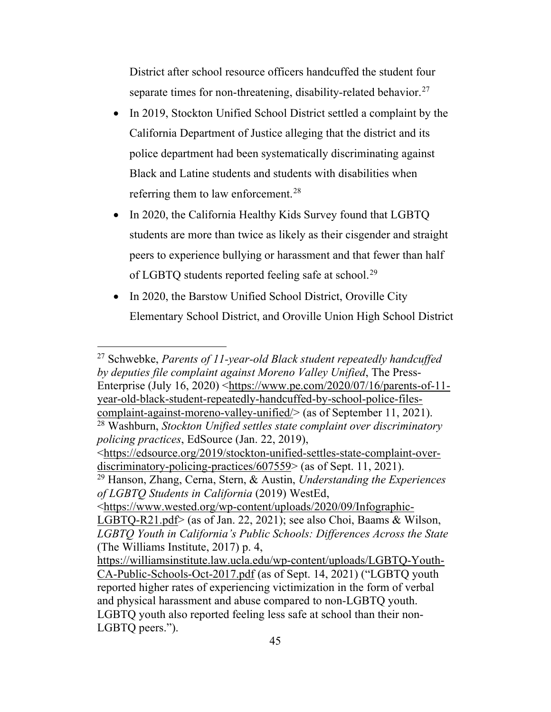District after school resource officers handcuffed the student four separate times for non-threatening, disability-related behavior.<sup>27</sup>

- In 2019, Stockton Unified School District settled a complaint by the California Department of Justice alleging that the district and its police department had been systematically discriminating against Black and Latine students and students with disabilities when referring them to law enforcement.<sup>[28](#page-44-5)</sup>
- In 2020, the California Healthy Kids Survey found that LGBTQ students are more than twice as likely as their cisgender and straight peers to experience bullying or harassment and that fewer than half of LGBTQ students reported feeling safe at school.<sup>[29](#page-44-6)</sup>
- In 2020, the Barstow Unified School District, Oroville City Elementary School District, and Oroville Union High School District

<span id="page-44-4"></span><span id="page-44-2"></span><sup>27</sup> Schwebke, *Parents of 11-year-old Black student repeatedly handcuffed by deputies file complaint against Moreno Valley Unified*, The Press-Enterprise (July 16, 2020) [<https://www.pe.com/2020/07/16/parents-of-11](https://www.pe.com/2020/07/16/parents-of-11-year-old-black-student-repeatedly-handcuffed-by-school-police-files-complaint-against-moreno-valley-unified/) [year-old-black-student-repeatedly-handcuffed-by-school-police-files](https://www.pe.com/2020/07/16/parents-of-11-year-old-black-student-repeatedly-handcuffed-by-school-police-files-complaint-against-moreno-valley-unified/)[complaint-against-moreno-valley-unified/>](https://www.pe.com/2020/07/16/parents-of-11-year-old-black-student-repeatedly-handcuffed-by-school-police-files-complaint-against-moreno-valley-unified/) (as of September 11, 2021). <sup>28</sup> Washburn, *Stockton Unified settles state complaint over discriminatory policing practices*, EdSource (Jan. 22, 2019),

<span id="page-44-5"></span><span id="page-44-3"></span>[<sup>&</sup>lt;https://edsource.org/2019/stockton-unified-settles-state-complaint-over](https://edsource.org/2019/stockton-unified-settles-state-complaint-over-discriminatory-policing-practices/607559)[discriminatory-policing-practices/607559>](https://edsource.org/2019/stockton-unified-settles-state-complaint-over-discriminatory-policing-practices/607559) (as of Sept. 11, 2021).

<span id="page-44-6"></span><span id="page-44-1"></span><sup>29</sup> Hanson, Zhang, Cerna, Stern, & Austin, *Understanding the Experiences of LGBTQ Students in California* (2019) WestEd,

[<sup>&</sup>lt;https://www.wested.org/wp-content/uploads/2020/09/Infographic-](https://www.wested.org/wp-content/uploads/2020/09/Infographic-LGBTQ-R21.pdf)

<span id="page-44-0"></span>[LGBTQ-R21.pdf>](https://www.wested.org/wp-content/uploads/2020/09/Infographic-LGBTQ-R21.pdf) (as of Jan. 22, 2021); see also Choi, Baams & Wilson, *LGBTQ Youth in California's Public Schools: Differences Across the State* (The Williams Institute, 2017) p. 4,

[https://williamsinstitute.law.ucla.edu/wp-content/uploads/LGBTQ-Youth-](https://williamsinstitute.law.ucla.edu/wp-content/uploads/LGBTQ-Youth-CA-Public-Schools-Oct-2017.pdf)[CA-Public-Schools-Oct-2017.pdf](https://williamsinstitute.law.ucla.edu/wp-content/uploads/LGBTQ-Youth-CA-Public-Schools-Oct-2017.pdf) (as of Sept. 14, 2021) ("LGBTQ youth reported higher rates of experiencing victimization in the form of verbal and physical harassment and abuse compared to non-LGBTQ youth. LGBTQ youth also reported feeling less safe at school than their non-LGBTQ peers.").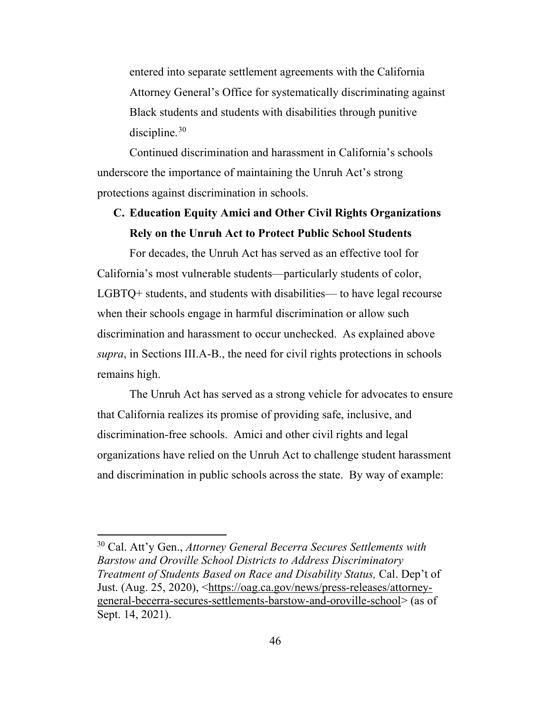entered into separate settlement agreements with the California Attorney General's Office for systematically discriminating against Black students and students with disabilities through punitive discipline.<sup>[30](#page-45-1)</sup>

Continued discrimination and harassment in California's schools underscore the importance of maintaining the Unruh Act's strong protections against discrimination in schools.

## **C. Education Equity Amici and Other Civil Rights Organizations Rely on the Unruh Act to Protect Public School Students**

For decades, the Unruh Act has served as an effective tool for California's most vulnerable students—particularly students of color, LGBTQ+ students, and students with disabilities— to have legal recourse when their schools engage in harmful discrimination or allow such discrimination and harassment to occur unchecked. As explained above *supra*, in Sections III.A-B., the need for civil rights protections in schools remains high.

The Unruh Act has served as a strong vehicle for advocates to ensure that California realizes its promise of providing safe, inclusive, and discrimination-free schools. Amici and other civil rights and legal organizations have relied on the Unruh Act to challenge student harassment and discrimination in public schools across the state. By way of example:

<span id="page-45-1"></span><span id="page-45-0"></span><sup>30</sup> Cal. Att'y Gen., *Attorney General Becerra Secures Settlements with Barstow and Oroville School Districts to Address Discriminatory Treatment of Students Based on Race and Disability Status,* Cal. Dep't of Just. (Aug. 25, 2020), [<https://oag.ca.gov/news/press-releases/attorney](https://oag.ca.gov/news/press-releases/attorney-general-becerra-secures-settlements-barstow-and-oroville-school)[general-becerra-secures-settlements-barstow-and-oroville-school>](https://oag.ca.gov/news/press-releases/attorney-general-becerra-secures-settlements-barstow-and-oroville-school) (as of Sept. 14, 2021).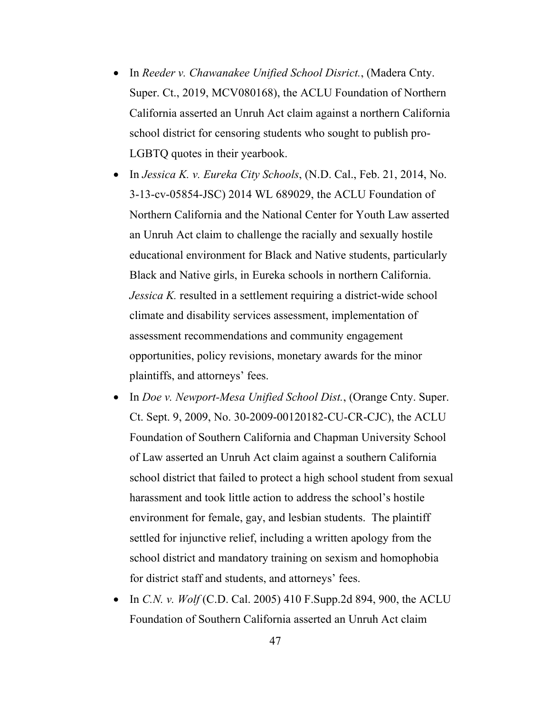- <span id="page-46-3"></span>• In *Reeder v. Chawanakee Unified School Disrict.*, (Madera Cnty. Super. Ct., 2019, MCV080168), the ACLU Foundation of Northern California asserted an Unruh Act claim against a northern California school district for censoring students who sought to publish pro-LGBTQ quotes in their yearbook.
- <span id="page-46-2"></span>• In *Jessica K. v. Eureka City Schools*, (N.D. Cal., Feb. 21, 2014, No. 3-13-cv-05854-JSC) 2014 WL 689029, the ACLU Foundation of Northern California and the National Center for Youth Law asserted an Unruh Act claim to challenge the racially and sexually hostile educational environment for Black and Native students, particularly Black and Native girls, in Eureka schools in northern California. *Jessica K.* resulted in a settlement requiring a district-wide school climate and disability services assessment, implementation of assessment recommendations and community engagement opportunities, policy revisions, monetary awards for the minor plaintiffs, and attorneys' fees.
- <span id="page-46-1"></span>• In *Doe v. Newport-Mesa Unified School Dist.*, (Orange Cnty. Super. Ct. Sept. 9, 2009, No. 30-2009-00120182-CU-CR-CJC), the ACLU Foundation of Southern California and Chapman University School of Law asserted an Unruh Act claim against a southern California school district that failed to protect a high school student from sexual harassment and took little action to address the school's hostile environment for female, gay, and lesbian students. The plaintiff settled for injunctive relief, including a written apology from the school district and mandatory training on sexism and homophobia for district staff and students, and attorneys' fees.
- <span id="page-46-0"></span>• In *C.N. v. Wolf* (C.D. Cal. 2005) 410 F.Supp.2d 894, 900, the ACLU Foundation of Southern California asserted an Unruh Act claim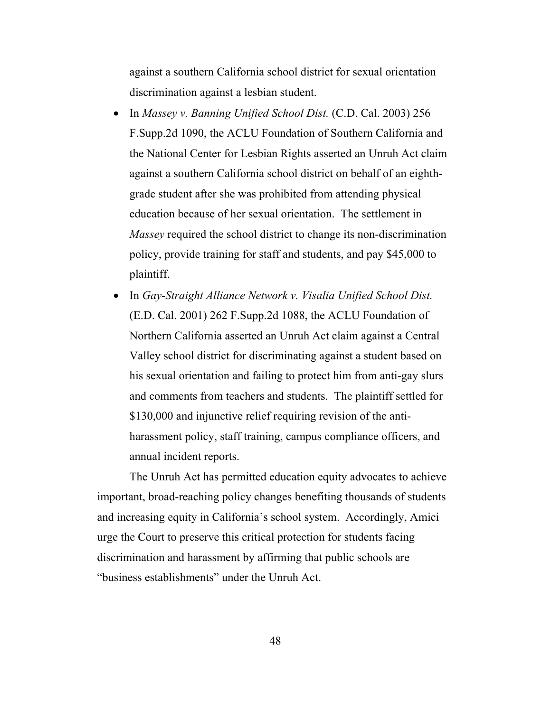against a southern California school district for sexual orientation discrimination against a lesbian student.

- <span id="page-47-1"></span>• In *Massey v. Banning Unified School Dist.* (C.D. Cal. 2003) 256 F.Supp.2d 1090, the ACLU Foundation of Southern California and the National Center for Lesbian Rights asserted an Unruh Act claim against a southern California school district on behalf of an eighthgrade student after she was prohibited from attending physical education because of her sexual orientation. The settlement in *Massey* required the school district to change its non-discrimination policy, provide training for staff and students, and pay \$45,000 to plaintiff.
- <span id="page-47-0"></span>• In *Gay-Straight Alliance Network v. Visalia Unified School Dist.* (E.D. Cal. 2001) 262 F.Supp.2d 1088, the ACLU Foundation of Northern California asserted an Unruh Act claim against a Central Valley school district for discriminating against a student based on his sexual orientation and failing to protect him from anti-gay slurs and comments from teachers and students. The plaintiff settled for \$130,000 and injunctive relief requiring revision of the antiharassment policy, staff training, campus compliance officers, and annual incident reports.

The Unruh Act has permitted education equity advocates to achieve important, broad-reaching policy changes benefiting thousands of students and increasing equity in California's school system. Accordingly, Amici urge the Court to preserve this critical protection for students facing discrimination and harassment by affirming that public schools are "business establishments" under the Unruh Act.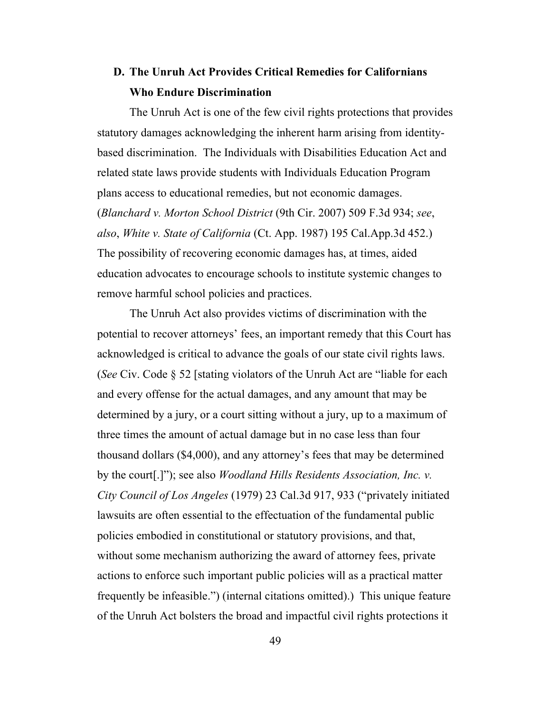# **D. The Unruh Act Provides Critical Remedies for Californians Who Endure Discrimination**

<span id="page-48-0"></span>The Unruh Act is one of the few civil rights protections that provides statutory damages acknowledging the inherent harm arising from identitybased discrimination. The Individuals with Disabilities Education Act and related state laws provide students with Individuals Education Program plans access to educational remedies, but not economic damages. (*Blanchard v. Morton School District* (9th Cir. 2007) 509 F.3d 934; *see*, *also*, *White v. State of California* (Ct. App. 1987) 195 Cal.App.3d 452.) The possibility of recovering economic damages has, at times, aided education advocates to encourage schools to institute systemic changes to remove harmful school policies and practices.

<span id="page-48-2"></span><span id="page-48-1"></span>The Unruh Act also provides victims of discrimination with the potential to recover attorneys' fees, an important remedy that this Court has acknowledged is critical to advance the goals of our state civil rights laws. (*See* Civ. Code § 52 [stating violators of the Unruh Act are "liable for each and every offense for the actual damages, and any amount that may be determined by a jury, or a court sitting without a jury, up to a maximum of three times the amount of actual damage but in no case less than four thousand dollars (\$4,000), and any attorney's fees that may be determined by the court[.]"); see also *Woodland Hills Residents Association, Inc. v. City Council of Los Angeles* (1979) 23 Cal.3d 917, 933 ("privately initiated lawsuits are often essential to the effectuation of the fundamental public policies embodied in constitutional or statutory provisions, and that, without some mechanism authorizing the award of attorney fees, private actions to enforce such important public policies will as a practical matter frequently be infeasible.") (internal citations omitted).) This unique feature of the Unruh Act bolsters the broad and impactful civil rights protections it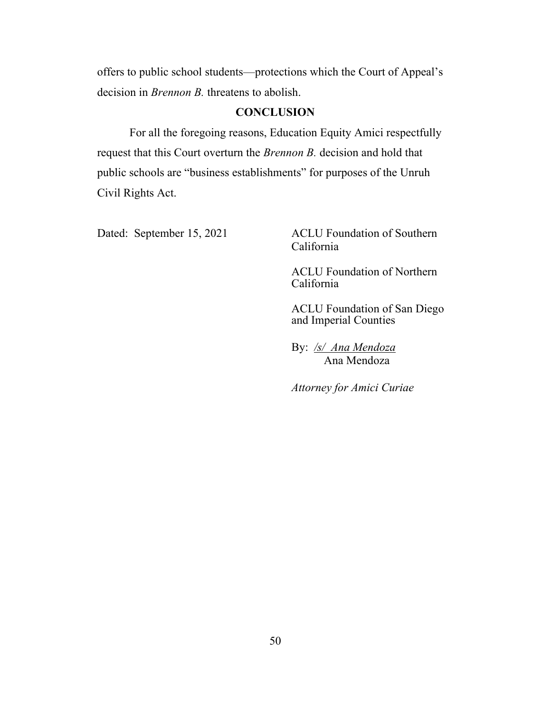offers to public school students—protections which the Court of Appeal's decision in *Brennon B.* threatens to abolish.

#### **CONCLUSION**

For all the foregoing reasons, Education Equity Amici respectfully request that this Court overturn the *Brennon B.* decision and hold that public schools are "business establishments" for purposes of the Unruh Civil Rights Act.

Dated: September 15, 2021 ACLU Foundation of Southern California

> ACLU Foundation of Northern California

ACLU Foundation of San Diego and Imperial Counties

By: */s/ Ana Mendoza* Ana Mendoza

*Attorney for Amici Curiae*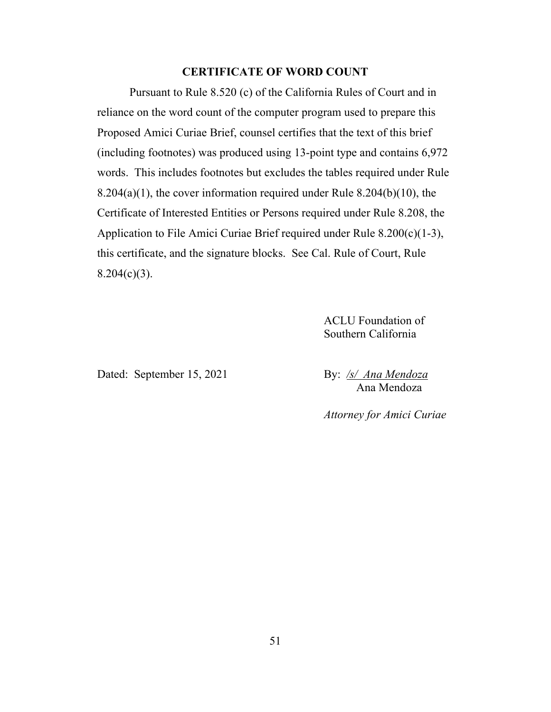#### **CERTIFICATE OF WORD COUNT**

Pursuant to Rule 8.520 (c) of the California Rules of Court and in reliance on the word count of the computer program used to prepare this Proposed Amici Curiae Brief, counsel certifies that the text of this brief (including footnotes) was produced using 13-point type and contains 6,972 words. This includes footnotes but excludes the tables required under Rule  $8.204(a)(1)$ , the cover information required under Rule  $8.204(b)(10)$ , the Certificate of Interested Entities or Persons required under Rule 8.208, the Application to File Amici Curiae Brief required under Rule 8.200(c)(1-3), this certificate, and the signature blocks. See Cal. Rule of Court, Rule  $8.204(c)(3)$ .

> ACLU Foundation of Southern California

Dated: September 15, 2021 By: /s/ Ana Mendoza

Ana Mendoza

*Attorney for Amici Curiae*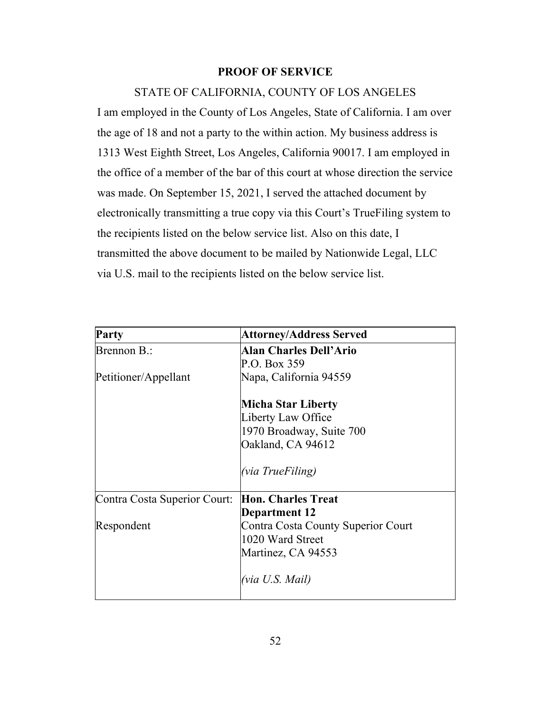#### **PROOF OF SERVICE**

#### STATE OF CALIFORNIA, COUNTY OF LOS ANGELES

I am employed in the County of Los Angeles, State of California. I am over the age of 18 and not a party to the within action. My business address is 1313 West Eighth Street, Los Angeles, California 90017. I am employed in the office of a member of the bar of this court at whose direction the service was made. On September 15, 2021, I served the attached document by electronically transmitting a true copy via this Court's TrueFiling system to the recipients listed on the below service list. Also on this date, I transmitted the above document to be mailed by Nationwide Legal, LLC via U.S. mail to the recipients listed on the below service list.

| Party                        | <b>Attorney/Address Served</b>     |
|------------------------------|------------------------------------|
| Brennon B.:                  | <b>Alan Charles Dell'Ario</b>      |
|                              | P.O. Box 359                       |
| Petitioner/Appellant         | Napa, California 94559             |
|                              | Micha Star Liberty                 |
|                              | Liberty Law Office                 |
|                              | 1970 Broadway, Suite 700           |
|                              | Oakland, CA 94612                  |
|                              | (via TrueFiling)                   |
| Contra Costa Superior Court: | <b>Hon. Charles Treat</b>          |
|                              | Department 12                      |
| Respondent                   | Contra Costa County Superior Court |
|                              | 1020 Ward Street                   |
|                              | Martinez, CA 94553                 |
|                              | (via U.S. Mail)                    |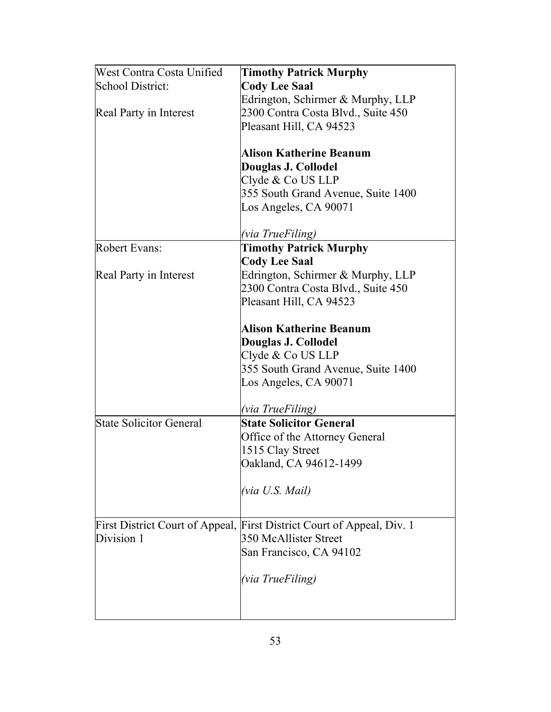| West Contra Costa Unified | <b>Timothy Patrick Murphy</b>                                          |
|---------------------------|------------------------------------------------------------------------|
| School District:          | <b>Cody Lee Saal</b>                                                   |
|                           | Edrington, Schirmer & Murphy, LLP                                      |
| Real Party in Interest    | 2300 Contra Costa Blvd., Suite 450                                     |
|                           | Pleasant Hill, CA 94523                                                |
|                           |                                                                        |
|                           | <b>Alison Katherine Beanum</b>                                         |
|                           | Douglas J. Collodel                                                    |
|                           | Clyde & Co US LLP                                                      |
|                           | 355 South Grand Avenue, Suite 1400                                     |
|                           | Los Angeles, CA 90071                                                  |
|                           | (via TrueFiling)                                                       |
| <b>Robert Evans:</b>      | <b>Timothy Patrick Murphy</b>                                          |
|                           | <b>Cody Lee Saal</b>                                                   |
| Real Party in Interest    | Edrington, Schirmer & Murphy, LLP                                      |
|                           | 2300 Contra Costa Blvd., Suite 450                                     |
|                           | Pleasant Hill, CA 94523                                                |
|                           |                                                                        |
|                           | <b>Alison Katherine Beanum</b>                                         |
|                           | Douglas J. Collodel                                                    |
|                           | Clyde & Co US LLP                                                      |
|                           | 355 South Grand Avenue, Suite 1400                                     |
|                           | Los Angeles, CA 90071                                                  |
|                           |                                                                        |
|                           | <i>(via TrueFiling)</i>                                                |
| State Solicitor General   | <b>State Solicitor General</b>                                         |
|                           | Office of the Attorney General                                         |
|                           | 1515 Clay Street                                                       |
|                           | Oakland, CA 94612-1499                                                 |
|                           | (via U.S. Mail)                                                        |
|                           |                                                                        |
|                           |                                                                        |
|                           | First District Court of Appeal, First District Court of Appeal, Div. 1 |
| Division 1                | 350 McAllister Street                                                  |
|                           | San Francisco, CA 94102                                                |
|                           | (via TrueFiling)                                                       |
|                           |                                                                        |
|                           |                                                                        |
|                           |                                                                        |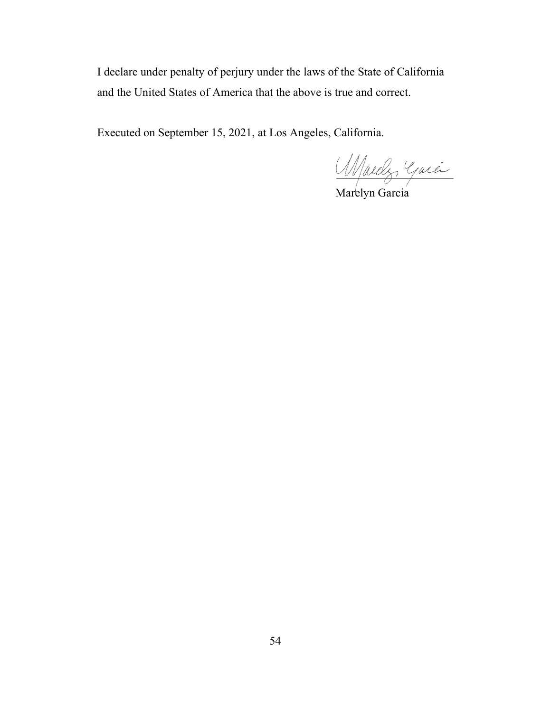I declare under penalty of perjury under the laws of the State of California and the United States of America that the above is true and correct.

Executed on September 15, 2021, at Los Angeles, California.

\_\_\_\_\_\_\_\_\_\_\_\_\_\_\_\_\_\_\_\_

Marelyn Garcia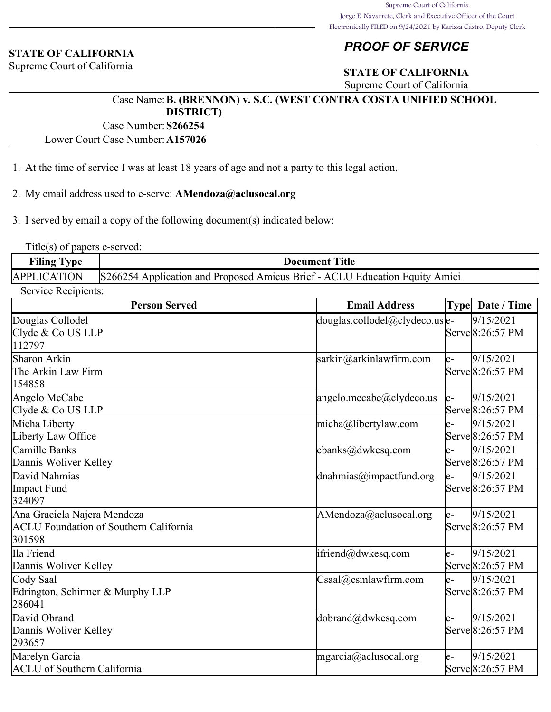#### **STATE OF CALIFORNIA**

Supreme Court of California

### *PROOF OF SERVICE*

### **STATE OF CALIFORNIA**

Supreme Court of California

#### Case Name:**B. (BRENNON) v. S.C. (WEST CONTRA COSTA UNIFIED SCHOOL DISTRICT)**

Case Number:**S266254**

Lower Court Case Number:**A157026**

- 1. At the time of service I was at least 18 years of age and not a party to this legal action.
- 2. My email address used to e-serve: **AMendoza@aclusocal.org**

3. I served by email a copy of the following document(s) indicated below:

Title(s) of papers e-served:

| <b>Filing Type</b>  | <b>Document Title</b>                                                       |  |
|---------------------|-----------------------------------------------------------------------------|--|
| <b>APPLICATION</b>  | S266254 Application and Proposed Amicus Brief - ACLU Education Equity Amici |  |
| Service Recipients: |                                                                             |  |

| <b>Person Served</b>                                                                   | <b>Email Address</b>                                    |       | Type Date / Time                                |
|----------------------------------------------------------------------------------------|---------------------------------------------------------|-------|-------------------------------------------------|
| Douglas Collodel<br>Clyde & Co US LLP<br>112797                                        | $\frac{1}{2}$ douglas.collodel@clydeco.us $\frac{1}{2}$ |       | 9/15/2021<br>Serve 8:26:57 PM                   |
| Sharon Arkin<br>The Arkin Law Firm<br>154858                                           | sarkin@arkinlawfirm.com                                 | le-   | 9/15/2021<br>Serve 8:26:57 PM                   |
| Angelo McCabe<br>Clyde & Co US LLP                                                     | angelo.mccabe@clydeco.us                                | $ e-$ | 9/15/2021<br>Serve 8:26:57 PM                   |
| Micha Liberty<br>Liberty Law Office                                                    | micha@libertylaw.com                                    | le-   | 9/15/2021<br>Serve 8:26:57 PM                   |
| Camille Banks<br>Dannis Woliver Kelley                                                 | cbanks@dwkesq.com                                       | e-    | 9/15/2021<br>Serve 8:26:57 PM                   |
| David Nahmias<br>Impact Fund<br>324097                                                 | dnahmias@impactfund.org                                 | le-   | 9/15/2021<br>Serve 8:26:57 PM                   |
| Ana Graciela Najera Mendoza<br><b>ACLU</b> Foundation of Southern California<br>301598 | AMendoza@aclusocal.org                                  | $ e-$ | 9/15/2021<br>Serve 8:26:57 PM                   |
| Ila Friend<br>Dannis Woliver Kelley                                                    | ifriend@dwkesq.com                                      | e-    | 9/15/2021<br>Serve 8:26:57 PM                   |
| Cody Saal<br>Edrington, Schirmer & Murphy LLP<br>286041                                | $\text{Csaal}(a)$ esmlawfirm.com                        | le-   | 9/15/2021<br>Serve 8:26:57 PM                   |
| David Obrand<br>Dannis Woliver Kelley<br>293657                                        | dobrand@dwkesq.com                                      | le-   | 9/15/2021<br>$\text{Serve}\ 8:26:57 \text{ PM}$ |
| Marelyn Garcia<br><b>ACLU</b> of Southern California                                   | mgarcia@aclusocal.org                                   | e-    | 9/15/2021<br>Serve 8:26:57 PM                   |